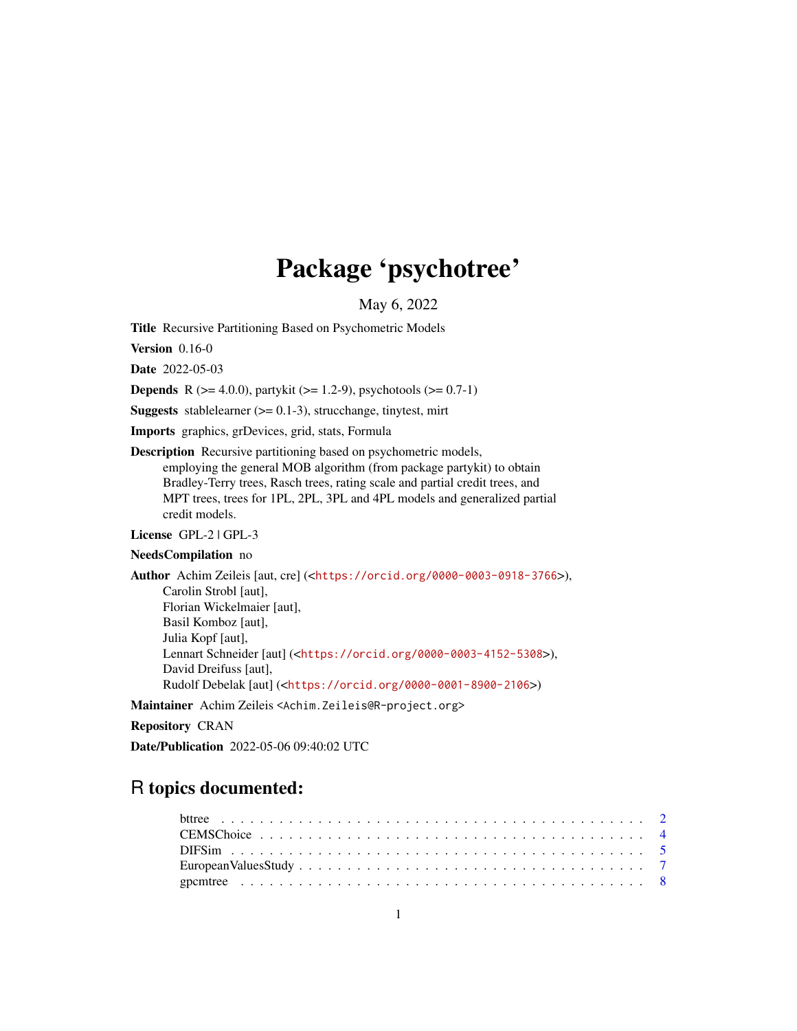# Package 'psychotree'

May 6, 2022

<span id="page-0-0"></span>Title Recursive Partitioning Based on Psychometric Models

Version 0.16-0

Date 2022-05-03

**Depends** R ( $>= 4.0.0$ ), partykit ( $>= 1.2-9$ ), psychotools ( $>= 0.7-1$ )

**Suggests** stablelearner  $(>= 0.1-3)$ , strucchange, tinytest, mirt

Imports graphics, grDevices, grid, stats, Formula

Description Recursive partitioning based on psychometric models, employing the general MOB algorithm (from package partykit) to obtain Bradley-Terry trees, Rasch trees, rating scale and partial credit trees, and MPT trees, trees for 1PL, 2PL, 3PL and 4PL models and generalized partial credit models.

License GPL-2 | GPL-3

NeedsCompilation no

Author Achim Zeileis [aut, cre] (<<https://orcid.org/0000-0003-0918-3766>>), Carolin Strobl [aut], Florian Wickelmaier [aut], Basil Komboz [aut], Julia Kopf [aut], Lennart Schneider [aut] (<<https://orcid.org/0000-0003-4152-5308>>), David Dreifuss [aut], Rudolf Debelak [aut] (<<https://orcid.org/0000-0001-8900-2106>>)

Maintainer Achim Zeileis <Achim.Zeileis@R-project.org>

# Repository CRAN

Date/Publication 2022-05-06 09:40:02 UTC

# R topics documented: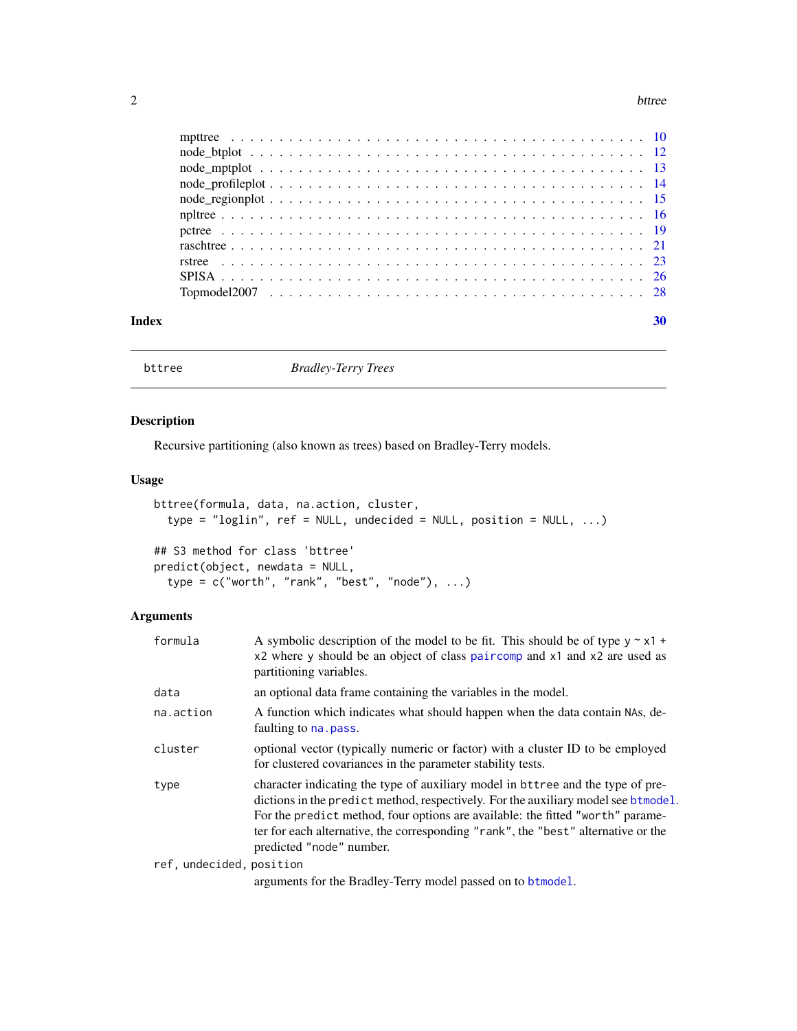#### <span id="page-1-0"></span> $2$  bttree

|       | $node\_mptplot \ldots \ldots \ldots \ldots \ldots \ldots \ldots \ldots \ldots \ldots \ldots \ldots \ldots 13$     |    |
|-------|-------------------------------------------------------------------------------------------------------------------|----|
|       | $node\_profileplot \ldots \ldots \ldots \ldots \ldots \ldots \ldots \ldots \ldots \ldots \ldots \ldots \ldots 14$ |    |
|       |                                                                                                                   |    |
|       |                                                                                                                   |    |
|       |                                                                                                                   |    |
|       |                                                                                                                   |    |
|       |                                                                                                                   |    |
|       |                                                                                                                   |    |
|       |                                                                                                                   |    |
|       |                                                                                                                   |    |
| Index |                                                                                                                   | 30 |

bttree *Bradley-Terry Trees*

# Description

Recursive partitioning (also known as trees) based on Bradley-Terry models.

# Usage

```
bttree(formula, data, na.action, cluster,
  type = "loglin", ref = NULL, undecided = NULL, position = NULL, ...)
## S3 method for class 'bttree'
predict(object, newdata = NULL,
  type = c("worth", "rank", "best", "node"), ...)
```
# Arguments

| formula                  | A symbolic description of the model to be fit. This should be of type $y \sim x1 +$<br>x2 where y should be an object of class paircomp and x1 and x2 are used as<br>partitioning variables.                                                                                                                                                                             |
|--------------------------|--------------------------------------------------------------------------------------------------------------------------------------------------------------------------------------------------------------------------------------------------------------------------------------------------------------------------------------------------------------------------|
| data                     | an optional data frame containing the variables in the model.                                                                                                                                                                                                                                                                                                            |
| na.action                | A function which indicates what should happen when the data contain NAs, de-<br>faulting to na. pass.                                                                                                                                                                                                                                                                    |
| cluster                  | optional vector (typically numeric or factor) with a cluster ID to be employed<br>for clustered covariances in the parameter stability tests.                                                                                                                                                                                                                            |
| type                     | character indicating the type of auxiliary model in bttree and the type of pre-<br>dictions in the predict method, respectively. For the auxiliary model see btmodel.<br>For the predict method, four options are available: the fitted "worth" parame-<br>ter for each alternative, the corresponding "rank", the "best" alternative or the<br>predicted "node" number. |
| ref, undecided, position |                                                                                                                                                                                                                                                                                                                                                                          |

arguments for the Bradley-Terry model passed on to [btmodel](#page-0-0).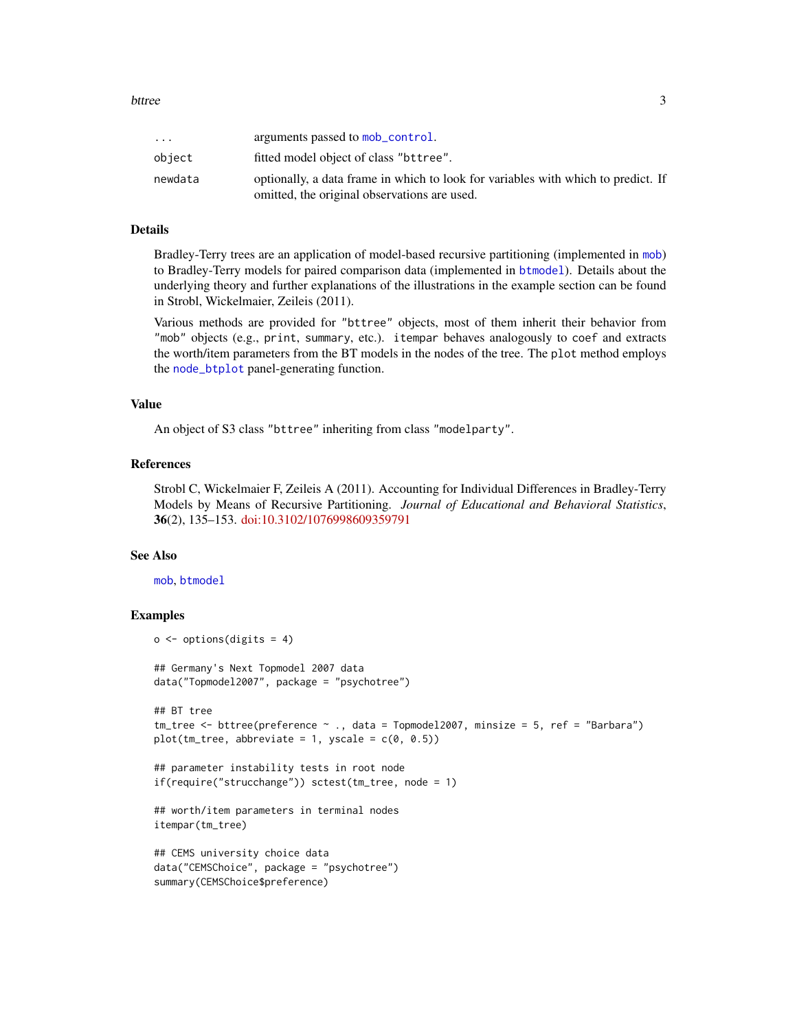<span id="page-2-0"></span>

| $\cdot$ $\cdot$ $\cdot$ | arguments passed to mob_control.                                                  |
|-------------------------|-----------------------------------------------------------------------------------|
| object                  | fitted model object of class "bttree".                                            |
| newdata                 | optionally, a data frame in which to look for variables with which to predict. If |
|                         | omitted, the original observations are used.                                      |

# Details

Bradley-Terry trees are an application of model-based recursive partitioning (implemented in [mob](#page-0-0)) to Bradley-Terry models for paired comparison data (implemented in [btmodel](#page-0-0)). Details about the underlying theory and further explanations of the illustrations in the example section can be found in Strobl, Wickelmaier, Zeileis (2011).

Various methods are provided for "bttree" objects, most of them inherit their behavior from "mob" objects (e.g., print, summary, etc.). itempar behaves analogously to coef and extracts the worth/item parameters from the BT models in the nodes of the tree. The plot method employs the [node\\_btplot](#page-11-1) panel-generating function.

#### Value

An object of S3 class "bttree" inheriting from class "modelparty".

# References

Strobl C, Wickelmaier F, Zeileis A (2011). Accounting for Individual Differences in Bradley-Terry Models by Means of Recursive Partitioning. *Journal of Educational and Behavioral Statistics*, 36(2), 135–153. [doi:10.3102/1076998609359791](https://doi.org/10.3102/1076998609359791)

# See Also

[mob](#page-0-0), [btmodel](#page-0-0)

```
o \leftarrow options(digits = 4)
## Germany's Next Topmodel 2007 data
data("Topmodel2007", package = "psychotree")
## BT tree
tm_tree <- bttree(preference ~ ., data = Topmodel2007, minsize = 5, ref = "Barbara")
plot(tm_ttree, abbreviate = 1, yscale = c(0, 0.5))## parameter instability tests in root node
if(require("strucchange")) sctest(tm_tree, node = 1)
## worth/item parameters in terminal nodes
itempar(tm_tree)
## CEMS university choice data
data("CEMSChoice", package = "psychotree")
summary(CEMSChoice$preference)
```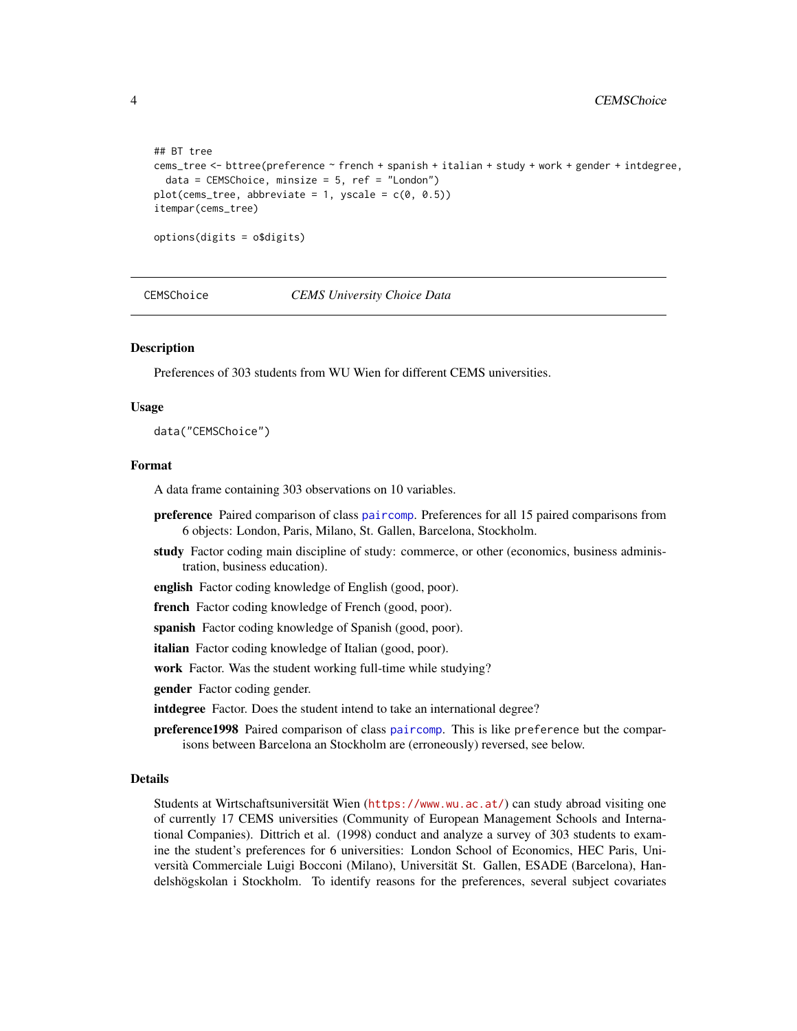```
## BT tree
cems_tree <- bttree(preference ~ french + spanish + italian + study + work + gender + intdegree,
 data = CEMSChoice, minsize = 5, ref = "London")
plot(cems\_tree, abbreviate = 1, yscale = c(0, 0.5))itempar(cems_tree)
options(digits = o$digits)
```
CEMSChoice *CEMS University Choice Data*

# **Description**

Preferences of 303 students from WU Wien for different CEMS universities.

#### Usage

data("CEMSChoice")

# Format

A data frame containing 303 observations on 10 variables.

- preference Paired comparison of class [paircomp](#page-0-0). Preferences for all 15 paired comparisons from 6 objects: London, Paris, Milano, St. Gallen, Barcelona, Stockholm.
- study Factor coding main discipline of study: commerce, or other (economics, business administration, business education).
- english Factor coding knowledge of English (good, poor).
- french Factor coding knowledge of French (good, poor).
- spanish Factor coding knowledge of Spanish (good, poor).
- italian Factor coding knowledge of Italian (good, poor).
- work Factor. Was the student working full-time while studying?

gender Factor coding gender.

intdegree Factor. Does the student intend to take an international degree?

preference1998 Paired comparison of class [paircomp](#page-0-0). This is like preference but the comparisons between Barcelona an Stockholm are (erroneously) reversed, see below.

#### Details

Students at Wirtschaftsuniversität Wien (<https://www.wu.ac.at/>) can study abroad visiting one of currently 17 CEMS universities (Community of European Management Schools and International Companies). Dittrich et al. (1998) conduct and analyze a survey of 303 students to examine the student's preferences for 6 universities: London School of Economics, HEC Paris, Università Commerciale Luigi Bocconi (Milano), Universität St. Gallen, ESADE (Barcelona), Handelshögskolan i Stockholm. To identify reasons for the preferences, several subject covariates

<span id="page-3-0"></span>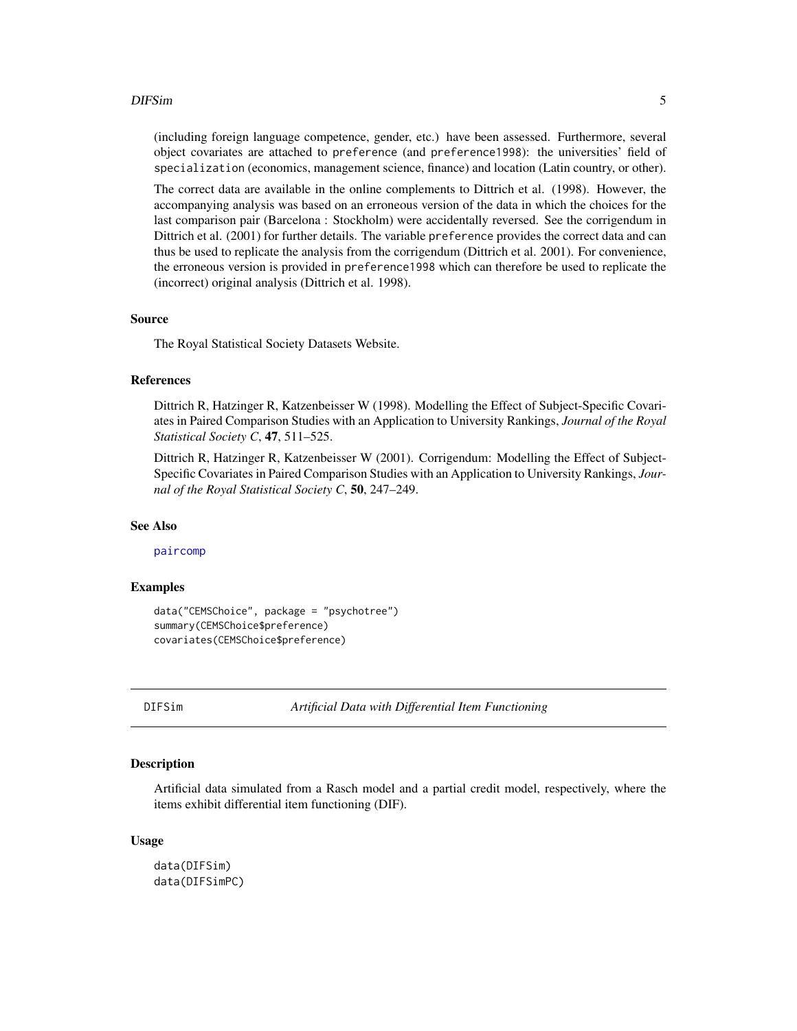#### <span id="page-4-0"></span>DIFSim 5

(including foreign language competence, gender, etc.) have been assessed. Furthermore, several object covariates are attached to preference (and preference1998): the universities' field of specialization (economics, management science, finance) and location (Latin country, or other).

The correct data are available in the online complements to Dittrich et al. (1998). However, the accompanying analysis was based on an erroneous version of the data in which the choices for the last comparison pair (Barcelona : Stockholm) were accidentally reversed. See the corrigendum in Dittrich et al. (2001) for further details. The variable preference provides the correct data and can thus be used to replicate the analysis from the corrigendum (Dittrich et al. 2001). For convenience, the erroneous version is provided in preference1998 which can therefore be used to replicate the (incorrect) original analysis (Dittrich et al. 1998).

#### Source

The Royal Statistical Society Datasets Website.

# References

Dittrich R, Hatzinger R, Katzenbeisser W (1998). Modelling the Effect of Subject-Specific Covariates in Paired Comparison Studies with an Application to University Rankings, *Journal of the Royal Statistical Society C*, 47, 511–525.

Dittrich R, Hatzinger R, Katzenbeisser W (2001). Corrigendum: Modelling the Effect of Subject-Specific Covariates in Paired Comparison Studies with an Application to University Rankings, *Journal of the Royal Statistical Society C*, 50, 247–249.

#### See Also

[paircomp](#page-0-0)

# Examples

```
data("CEMSChoice", package = "psychotree")
summary(CEMSChoice$preference)
covariates(CEMSChoice$preference)
```
DIFSim *Artificial Data with Differential Item Functioning*

# Description

Artificial data simulated from a Rasch model and a partial credit model, respectively, where the items exhibit differential item functioning (DIF).

#### Usage

data(DIFSim) data(DIFSimPC)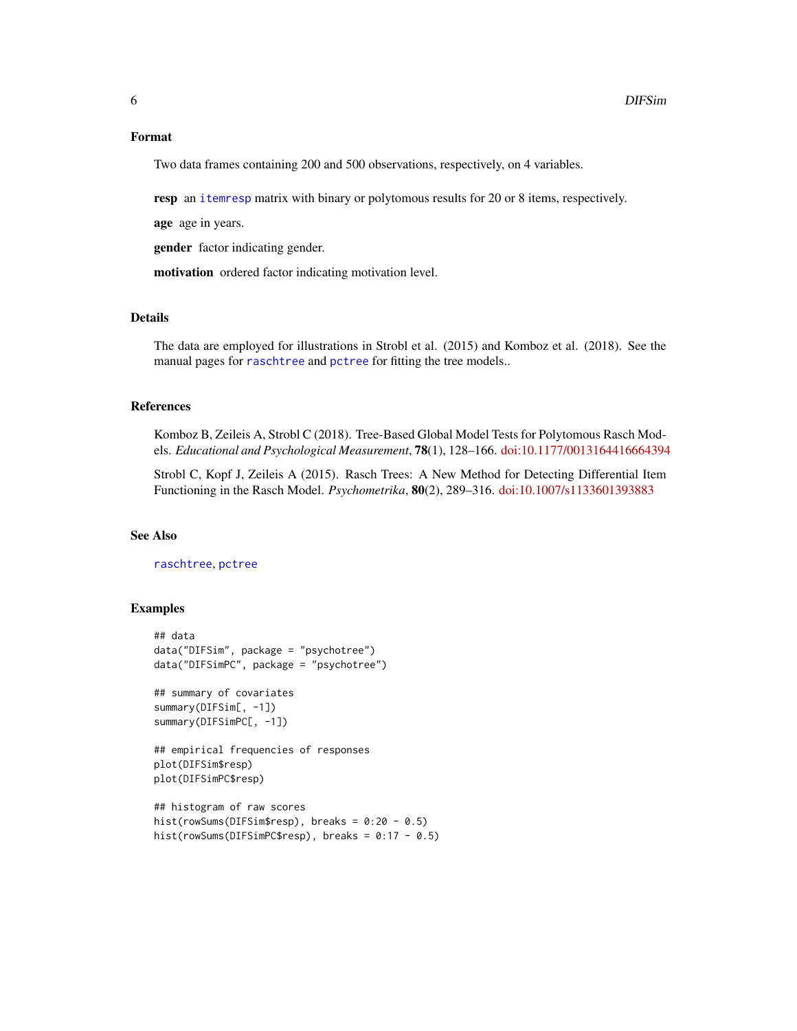#### <span id="page-5-0"></span>Format

Two data frames containing 200 and 500 observations, respectively, on 4 variables.

resp an [itemresp](#page-0-0) matrix with binary or polytomous results for 20 or 8 items, respectively.

age age in years.

gender factor indicating gender.

motivation ordered factor indicating motivation level.

# Details

The data are employed for illustrations in Strobl et al. (2015) and Komboz et al. (2018). See the manual pages for [raschtree](#page-20-1) and [pctree](#page-18-1) for fitting the tree models..

# References

Komboz B, Zeileis A, Strobl C (2018). Tree-Based Global Model Tests for Polytomous Rasch Models. *Educational and Psychological Measurement*, 78(1), 128–166. [doi:10.1177/0013164416664394](https://doi.org/10.1177/0013164416664394)

Strobl C, Kopf J, Zeileis A (2015). Rasch Trees: A New Method for Detecting Differential Item Functioning in the Rasch Model. *Psychometrika*, 80(2), 289–316. [doi:10.1007/s1133601393883](https://doi.org/10.1007/s11336-013-9388-3)

#### See Also

[raschtree](#page-20-1), [pctree](#page-18-1)

```
## data
data("DIFSim", package = "psychotree")
data("DIFSimPC", package = "psychotree")
## summary of covariates
summary(DIFSim[, -1])
summary(DIFSimPC[, -1])
## empirical frequencies of responses
plot(DIFSim$resp)
plot(DIFSimPC$resp)
## histogram of raw scores
```

```
hist(rowSums(DIFSim$resp), breaks = 0:20 - 0.5)
hist(rowSums(DIFSimPC$resp), breaks = 0:17 - 0.5)
```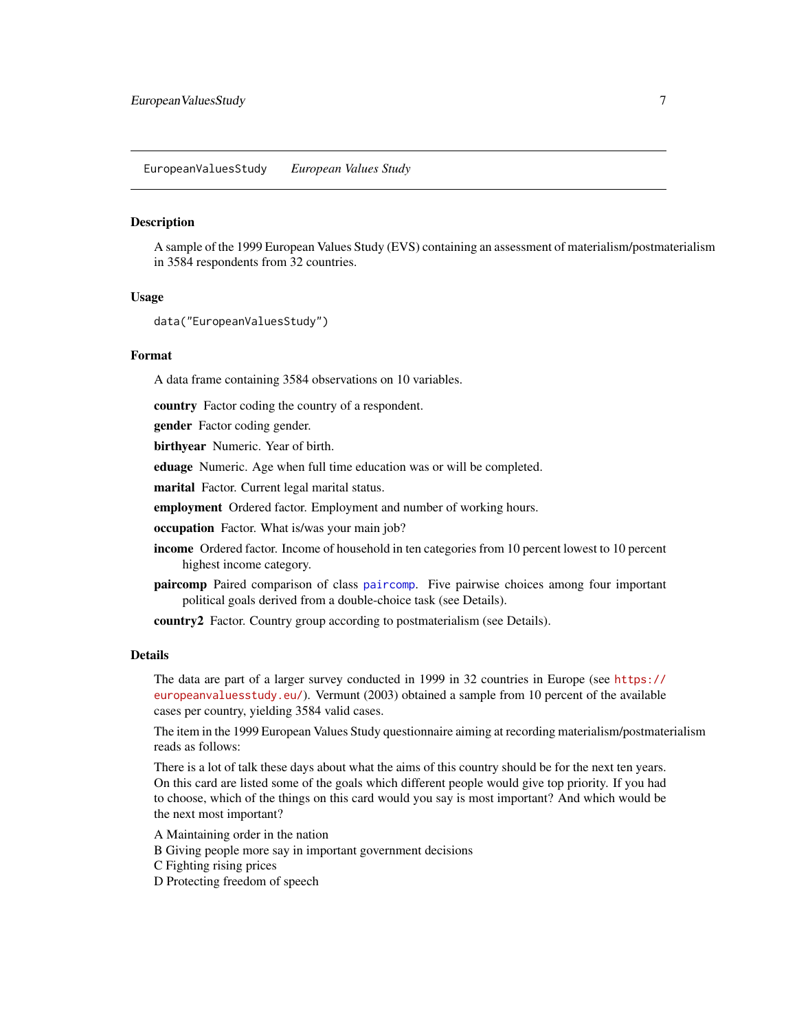<span id="page-6-0"></span>A sample of the 1999 European Values Study (EVS) containing an assessment of materialism/postmaterialism in 3584 respondents from 32 countries.

# Usage

```
data("EuropeanValuesStudy")
```
#### Format

A data frame containing 3584 observations on 10 variables.

country Factor coding the country of a respondent.

gender Factor coding gender.

birthyear Numeric. Year of birth.

eduage Numeric. Age when full time education was or will be completed.

marital Factor. Current legal marital status.

employment Ordered factor. Employment and number of working hours.

occupation Factor. What is/was your main job?

- income Ordered factor. Income of household in ten categories from 10 percent lowest to 10 percent highest income category.
- paircomp Paired comparison of class [paircomp](#page-0-0). Five pairwise choices among four important political goals derived from a double-choice task (see Details).

country2 Factor. Country group according to postmaterialism (see Details).

#### Details

The data are part of a larger survey conducted in 1999 in 32 countries in Europe (see [https://](https://europeanvaluesstudy.eu/) [europeanvaluesstudy.eu/](https://europeanvaluesstudy.eu/)). Vermunt (2003) obtained a sample from 10 percent of the available cases per country, yielding 3584 valid cases.

The item in the 1999 European Values Study questionnaire aiming at recording materialism/postmaterialism reads as follows:

There is a lot of talk these days about what the aims of this country should be for the next ten years. On this card are listed some of the goals which different people would give top priority. If you had to choose, which of the things on this card would you say is most important? And which would be the next most important?

A Maintaining order in the nation

- B Giving people more say in important government decisions
- C Fighting rising prices

D Protecting freedom of speech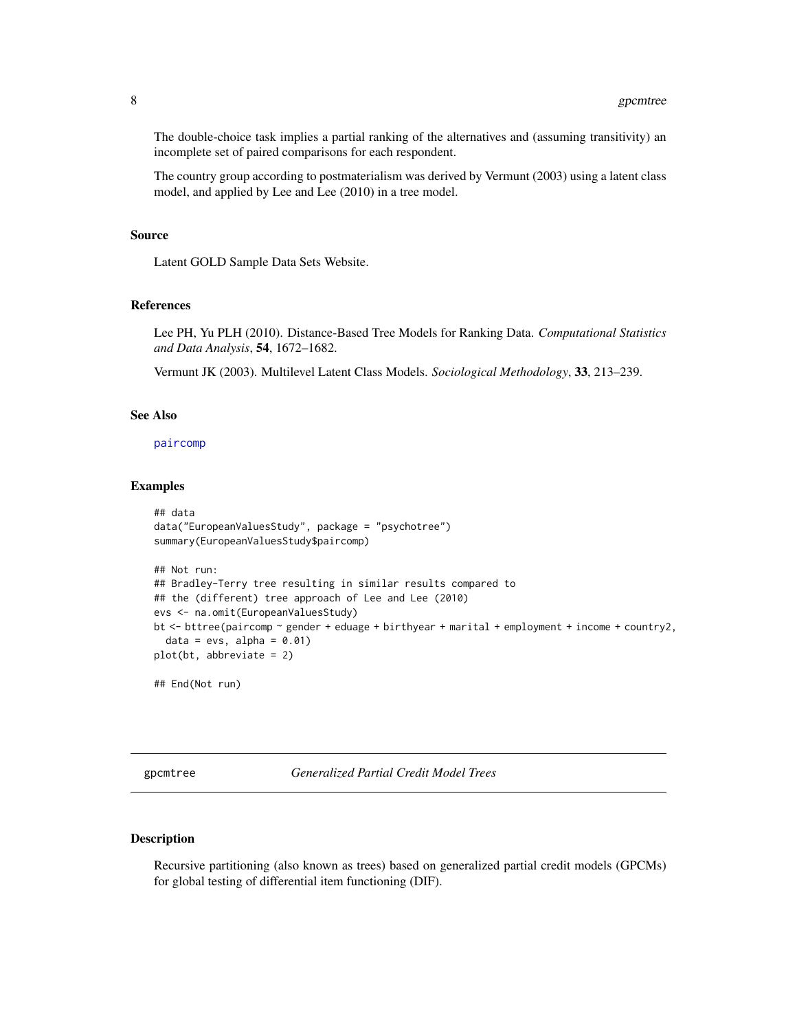<span id="page-7-0"></span>The double-choice task implies a partial ranking of the alternatives and (assuming transitivity) an incomplete set of paired comparisons for each respondent.

The country group according to postmaterialism was derived by Vermunt (2003) using a latent class model, and applied by Lee and Lee (2010) in a tree model.

# Source

Latent GOLD Sample Data Sets Website.

#### References

Lee PH, Yu PLH (2010). Distance-Based Tree Models for Ranking Data. *Computational Statistics and Data Analysis*, 54, 1672–1682.

Vermunt JK (2003). Multilevel Latent Class Models. *Sociological Methodology*, 33, 213–239.

#### See Also

[paircomp](#page-0-0)

# Examples

```
## data
data("EuropeanValuesStudy", package = "psychotree")
summary(EuropeanValuesStudy$paircomp)
## Not run:
## Bradley-Terry tree resulting in similar results compared to
## the (different) tree approach of Lee and Lee (2010)
evs <- na.omit(EuropeanValuesStudy)
bt <- bttree(paircomp ~ gender + eduage + birthyear + marital + employment + income + country2,
  data = evs, alpha = 0.01)
plot(bt, abbreviate = 2)
## End(Not run)
```
<span id="page-7-1"></span>gpcmtree *Generalized Partial Credit Model Trees*

# Description

Recursive partitioning (also known as trees) based on generalized partial credit models (GPCMs) for global testing of differential item functioning (DIF).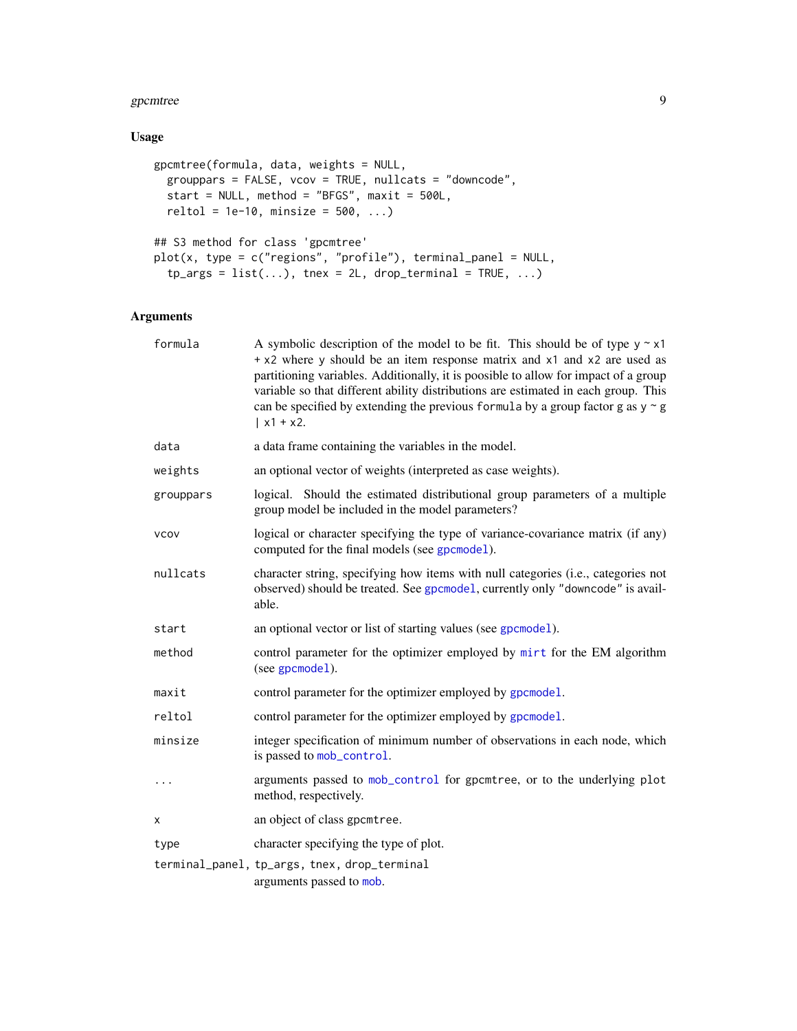#### <span id="page-8-0"></span>gpcmtree 9

# Usage

```
gpcmtree(formula, data, weights = NULL,
 grouppars = FALSE, vcov = TRUE, nullcats = "downcode",
 start = NULL, method = "BFGS", maxit = 500L,
 reltol = 1e-10, minsize = 500, ...)
## S3 method for class 'gpcmtree'
plot(x, type = c("regions", "profile"), terminal\_panel = NULL,tp_{args} = list(...), tnex = 2L, drop_terminal = TRUE, ...)
```
# Arguments

| formula     | A symbolic description of the model to be fit. This should be of type $y \sim x1$<br>+ x2 where y should be an item response matrix and x1 and x2 are used as<br>partitioning variables. Additionally, it is poosible to allow for impact of a group<br>variable so that different ability distributions are estimated in each group. This<br>can be specified by extending the previous formula by a group factor g as $y \sim g$<br>$  x1 + x2.$ |
|-------------|----------------------------------------------------------------------------------------------------------------------------------------------------------------------------------------------------------------------------------------------------------------------------------------------------------------------------------------------------------------------------------------------------------------------------------------------------|
| data        | a data frame containing the variables in the model.                                                                                                                                                                                                                                                                                                                                                                                                |
| weights     | an optional vector of weights (interpreted as case weights).                                                                                                                                                                                                                                                                                                                                                                                       |
| grouppars   | logical. Should the estimated distributional group parameters of a multiple<br>group model be included in the model parameters?                                                                                                                                                                                                                                                                                                                    |
| <b>VCOV</b> | logical or character specifying the type of variance-covariance matrix (if any)<br>computed for the final models (see gpcmodel).                                                                                                                                                                                                                                                                                                                   |
| nullcats    | character string, specifying how items with null categories (i.e., categories not<br>observed) should be treated. See gpcmode1, currently only "downcode" is avail-<br>able.                                                                                                                                                                                                                                                                       |
| start       | an optional vector or list of starting values (see gpcmodel).                                                                                                                                                                                                                                                                                                                                                                                      |
| method      | control parameter for the optimizer employed by mirt for the EM algorithm<br>(see gpcmodel).                                                                                                                                                                                                                                                                                                                                                       |
| maxit       | control parameter for the optimizer employed by gpcmodel.                                                                                                                                                                                                                                                                                                                                                                                          |
| reltol      | control parameter for the optimizer employed by gpcmodel.                                                                                                                                                                                                                                                                                                                                                                                          |
| minsize     | integer specification of minimum number of observations in each node, which<br>is passed to mob_control.                                                                                                                                                                                                                                                                                                                                           |
|             | arguments passed to mob_control for gpcmtree, or to the underlying plot<br>method, respectively.                                                                                                                                                                                                                                                                                                                                                   |
| X           | an object of class gpcmtree.                                                                                                                                                                                                                                                                                                                                                                                                                       |
| type        | character specifying the type of plot.                                                                                                                                                                                                                                                                                                                                                                                                             |
|             | terminal_panel, tp_args, tnex, drop_terminal<br>arguments passed to mob.                                                                                                                                                                                                                                                                                                                                                                           |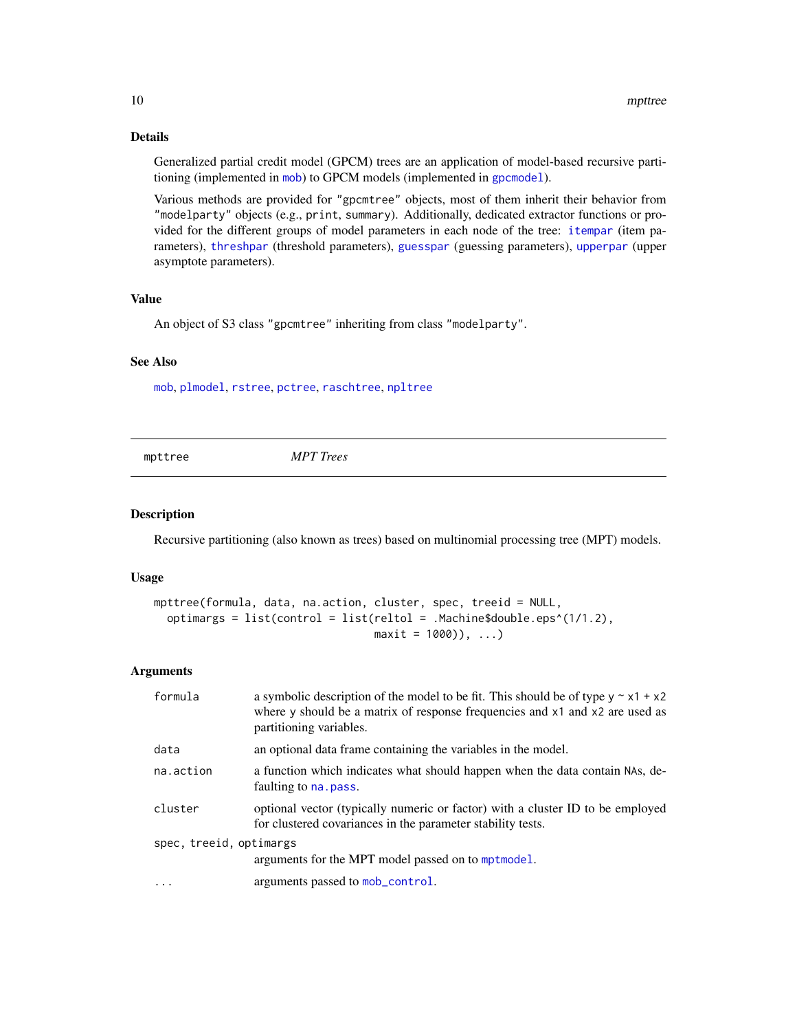# Details

Generalized partial credit model (GPCM) trees are an application of model-based recursive partitioning (implemented in [mob](#page-0-0)) to GPCM models (implemented in [gpcmodel](#page-0-0)).

Various methods are provided for "gpcmtree" objects, most of them inherit their behavior from "modelparty" objects (e.g., print, summary). Additionally, dedicated extractor functions or provided for the different groups of model parameters in each node of the tree: [itempar](#page-0-0) (item parameters), [threshpar](#page-0-0) (threshold parameters), [guesspar](#page-0-0) (guessing parameters), [upperpar](#page-0-0) (upper asymptote parameters).

# Value

An object of S3 class "gpcmtree" inheriting from class "modelparty".

# See Also

[mob](#page-0-0), [plmodel](#page-0-0), [rstree](#page-22-1), [pctree](#page-18-1), [raschtree](#page-20-1), [npltree](#page-15-1)

<span id="page-9-1"></span>

mpttree *MPT Trees*

# Description

Recursive partitioning (also known as trees) based on multinomial processing tree (MPT) models.

### Usage

```
mpttree(formula, data, na.action, cluster, spec, treeid = NULL,
 optimargs = list(control = list(reltol = .Machine$double.eps^(1/1.2),
                                  maxit = 1000)), ...)
```
#### Arguments

| formula                 | a symbolic description of the model to be fit. This should be of type $y \sim x1 + x2$<br>where y should be a matrix of response frequencies and x1 and x2 are used as<br>partitioning variables. |
|-------------------------|---------------------------------------------------------------------------------------------------------------------------------------------------------------------------------------------------|
| data                    | an optional data frame containing the variables in the model.                                                                                                                                     |
| na.action               | a function which indicates what should happen when the data contain NAs, de-<br>faulting to na. pass.                                                                                             |
| cluster                 | optional vector (typically numeric or factor) with a cluster ID to be employed<br>for clustered covariances in the parameter stability tests.                                                     |
| spec, treeid, optimargs |                                                                                                                                                                                                   |
|                         | arguments for the MPT model passed on to mptmodel.                                                                                                                                                |
| $\ddots$ .              | arguments passed to mob_control.                                                                                                                                                                  |

<span id="page-9-0"></span>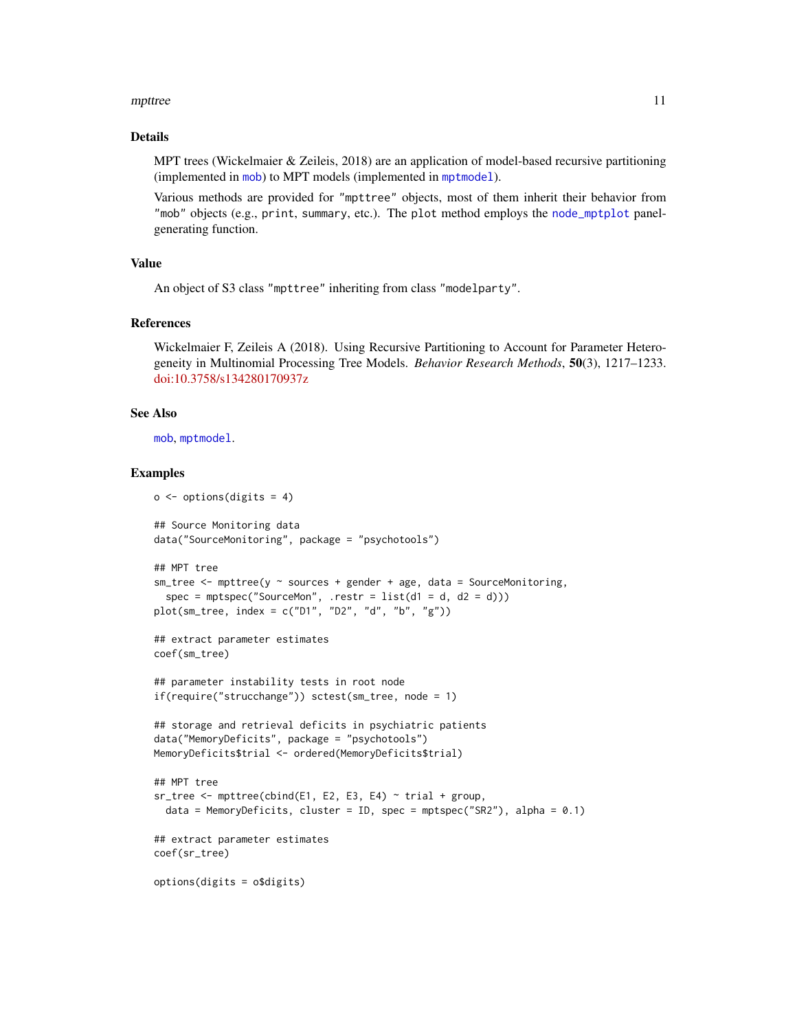#### <span id="page-10-0"></span>mpttree that the contract of the contract of the contract of the contract of the contract of the contract of the contract of the contract of the contract of the contract of the contract of the contract of the contract of t

#### Details

MPT trees (Wickelmaier & Zeileis, 2018) are an application of model-based recursive partitioning (implemented in [mob](#page-0-0)) to MPT models (implemented in [mptmodel](#page-0-0)).

Various methods are provided for "mpttree" objects, most of them inherit their behavior from "mob" objects (e.g., print, summary, etc.). The plot method employs the [node\\_mptplot](#page-12-1) panelgenerating function.

# Value

An object of S3 class "mpttree" inheriting from class "modelparty".

# References

Wickelmaier F, Zeileis A (2018). Using Recursive Partitioning to Account for Parameter Heterogeneity in Multinomial Processing Tree Models. *Behavior Research Methods*, 50(3), 1217–1233. [doi:10.3758/s134280170937z](https://doi.org/10.3758/s13428-017-0937-z)

# See Also

[mob](#page-0-0), [mptmodel](#page-0-0).

```
o \leftarrow options(digits = 4)
## Source Monitoring data
data("SourceMonitoring", package = "psychotools")
## MPT tree
sm\_tree \leq mpttree(y \sim sources + gender + age, data = SourceMonitoring,spec = mptspec("SourceMon", .restr = list(d1 = d, d2 = d)))plot(sm_tree, index = c("D1", "D2", "d", "b", "g"))
## extract parameter estimates
coef(sm_tree)
## parameter instability tests in root node
if(require("strucchange")) sctest(sm_tree, node = 1)
## storage and retrieval deficits in psychiatric patients
data("MemoryDeficits", package = "psychotools")
MemoryDeficits$trial <- ordered(MemoryDeficits$trial)
## MPT tree
sr\_tree \leftarrow mptree(cbind(E1, E2, E3, E4) \sim trial + group,data = MemoryDeficits, cluster = ID, spec = mptspec("SR2"), alpha = 0.1)
## extract parameter estimates
coef(sr_tree)
options(digits = o$digits)
```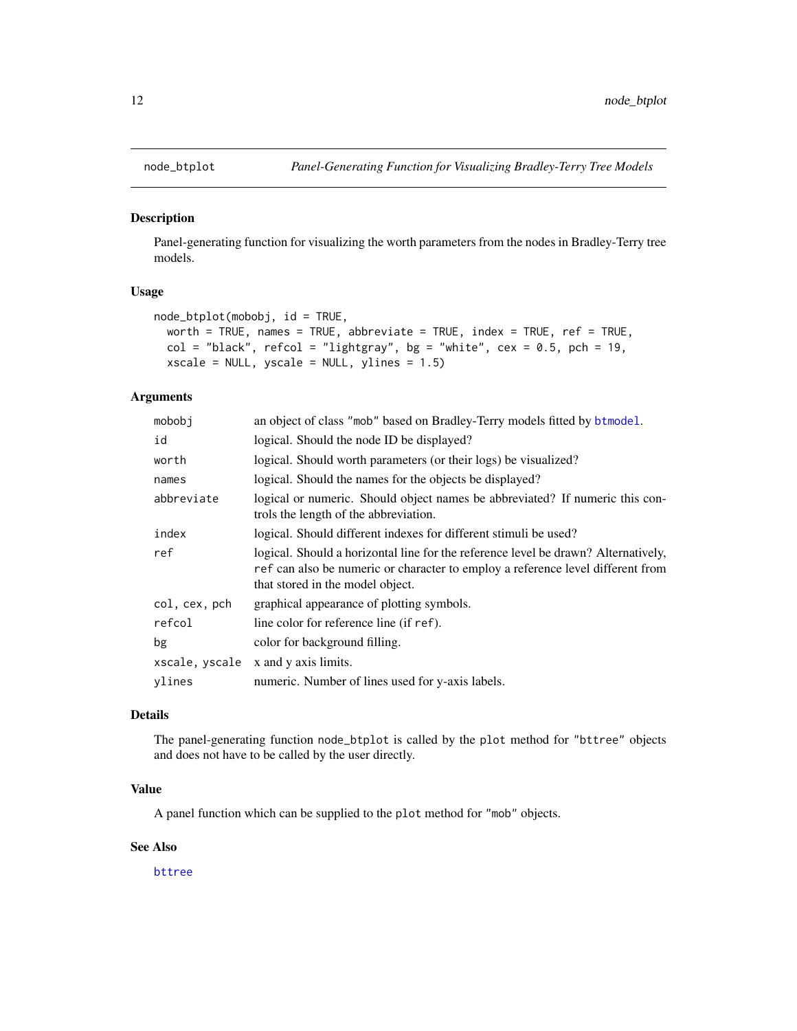<span id="page-11-1"></span><span id="page-11-0"></span>

Panel-generating function for visualizing the worth parameters from the nodes in Bradley-Terry tree models.

#### Usage

```
node_btplot(mobobj, id = TRUE,
 worth = TRUE, names = TRUE, abbreviate = TRUE, index = TRUE, ref = TRUE,
 col = "black", refcol = "lightgray", bg = "white", cex = 0.5, pch = 19,
 xscale = NULL, yscale = NULL, ylines = 1.5)
```
# Arguments

| mobobi         | an object of class "mob" based on Bradley-Terry models fitted by btmodel.                                                                                                                                 |
|----------------|-----------------------------------------------------------------------------------------------------------------------------------------------------------------------------------------------------------|
| id             | logical. Should the node ID be displayed?                                                                                                                                                                 |
| worth          | logical. Should worth parameters (or their logs) be visualized?                                                                                                                                           |
| names          | logical. Should the names for the objects be displayed?                                                                                                                                                   |
| abbreviate     | logical or numeric. Should object names be abbreviated? If numeric this con-<br>trols the length of the abbreviation.                                                                                     |
| index          | logical. Should different indexes for different stimuli be used?                                                                                                                                          |
| ref            | logical. Should a horizontal line for the reference level be drawn? Alternatively,<br>ref can also be numeric or character to employ a reference level different from<br>that stored in the model object. |
| col, cex, pch  | graphical appearance of plotting symbols.                                                                                                                                                                 |
| refcol         | line color for reference line (if ref).                                                                                                                                                                   |
| bg             | color for background filling.                                                                                                                                                                             |
| xscale, yscale | x and y axis limits.                                                                                                                                                                                      |
| ylines         | numeric. Number of lines used for y-axis labels.                                                                                                                                                          |

# Details

The panel-generating function node\_btplot is called by the plot method for "bttree" objects and does not have to be called by the user directly.

# Value

A panel function which can be supplied to the plot method for "mob" objects.

# See Also

[bttree](#page-1-1)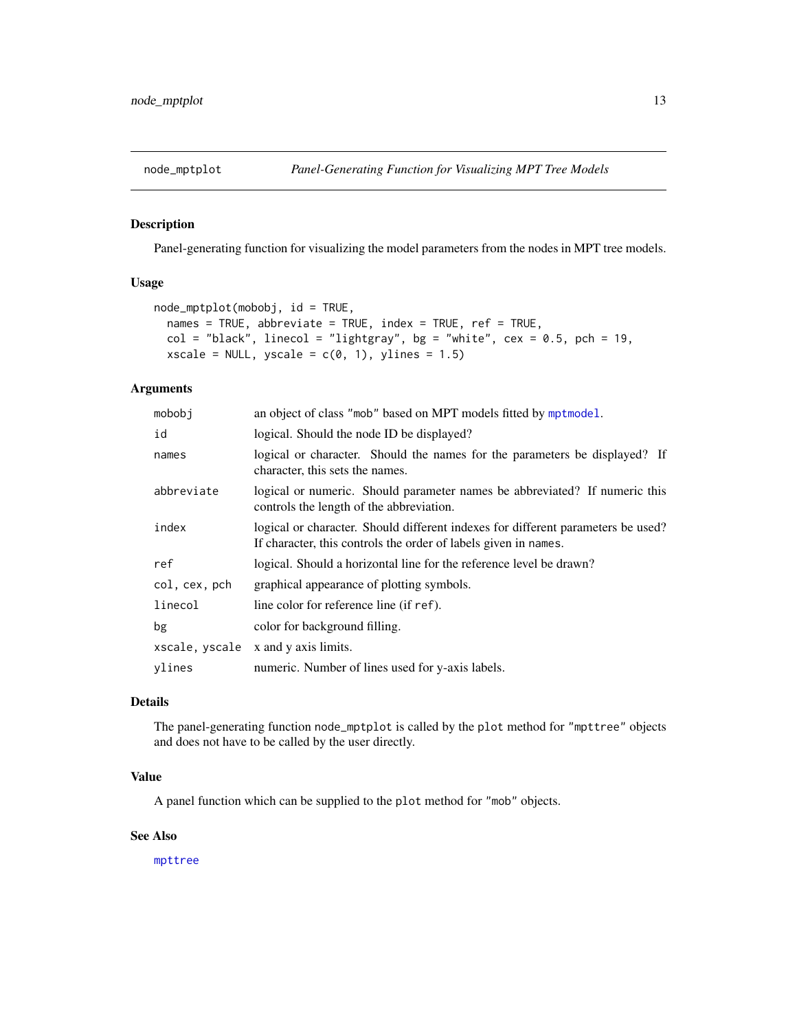<span id="page-12-1"></span><span id="page-12-0"></span>

Panel-generating function for visualizing the model parameters from the nodes in MPT tree models.

# Usage

```
node_mptplot(mobobj, id = TRUE,
 names = TRUE, abbreviate = TRUE, index = TRUE, ref = TRUE,
  col = "black", linecol = "lightgray", bg = "white", cex = 0.5, pch = 19,xscale = NULL, yscale = c(0, 1), ylines = 1.5)
```
# Arguments

| mobobi         | an object of class "mob" based on MPT models fitted by mptmodel.                                                                                    |
|----------------|-----------------------------------------------------------------------------------------------------------------------------------------------------|
| id             | logical. Should the node ID be displayed?                                                                                                           |
| names          | logical or character. Should the names for the parameters be displayed? If<br>character, this sets the names.                                       |
| abbreviate     | logical or numeric. Should parameter names be abbreviated? If numeric this<br>controls the length of the abbreviation.                              |
| index          | logical or character. Should different indexes for different parameters be used?<br>If character, this controls the order of labels given in names. |
| ref            | logical. Should a horizontal line for the reference level be drawn?                                                                                 |
| col, cex, pch  | graphical appearance of plotting symbols.                                                                                                           |
| linecol        | line color for reference line (if ref).                                                                                                             |
| bg             | color for background filling.                                                                                                                       |
| xscale, yscale | x and y axis limits.                                                                                                                                |
| vlines         | numeric. Number of lines used for y-axis labels.                                                                                                    |
|                |                                                                                                                                                     |

# Details

The panel-generating function node\_mptplot is called by the plot method for "mpttree" objects and does not have to be called by the user directly.

# Value

A panel function which can be supplied to the plot method for "mob" objects.

### See Also

[mpttree](#page-9-1)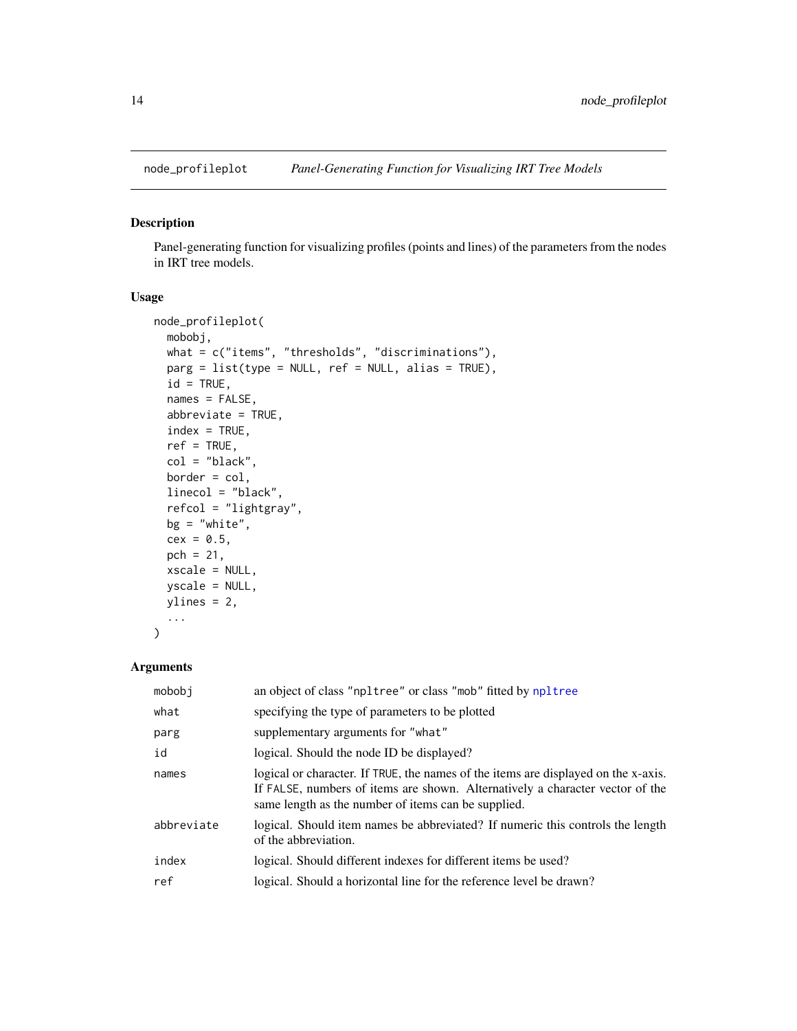<span id="page-13-1"></span><span id="page-13-0"></span>

Panel-generating function for visualizing profiles (points and lines) of the parameters from the nodes in IRT tree models.

# Usage

```
node_profileplot(
  mobobj,
 what = c("items", "thresholds", "discriminations"),
 parg = list(type = NULL, ref = NULL, alias = TRUE),
  id = TRUE,
  names = FALSE,
  abbreviate = TRUE,
  index = TRUE,ref = TRUE,col = "black",
 border = col,linecol = "black",
  refcol = "lightgray",
 bg = "white",cex = 0.5,
  pch = 21,
  xscale = NULL,
 yscale = NULL,
 ylines = 2,
  ...
)
```
# Arguments

| mobobj     | an object of class "npltree" or class "mob" fitted by npltree                                                                                                                                                              |
|------------|----------------------------------------------------------------------------------------------------------------------------------------------------------------------------------------------------------------------------|
| what       | specifying the type of parameters to be plotted                                                                                                                                                                            |
| parg       | supplementary arguments for "what"                                                                                                                                                                                         |
| id         | logical. Should the node ID be displayed?                                                                                                                                                                                  |
| names      | logical or character. If TRUE, the names of the items are displayed on the x-axis.<br>If FALSE, numbers of items are shown. Alternatively a character vector of the<br>same length as the number of items can be supplied. |
| abbreviate | logical. Should item names be abbreviated? If numeric this controls the length<br>of the abbreviation.                                                                                                                     |
| index      | logical. Should different indexes for different items be used?                                                                                                                                                             |
| ref        | logical. Should a horizontal line for the reference level be drawn?                                                                                                                                                        |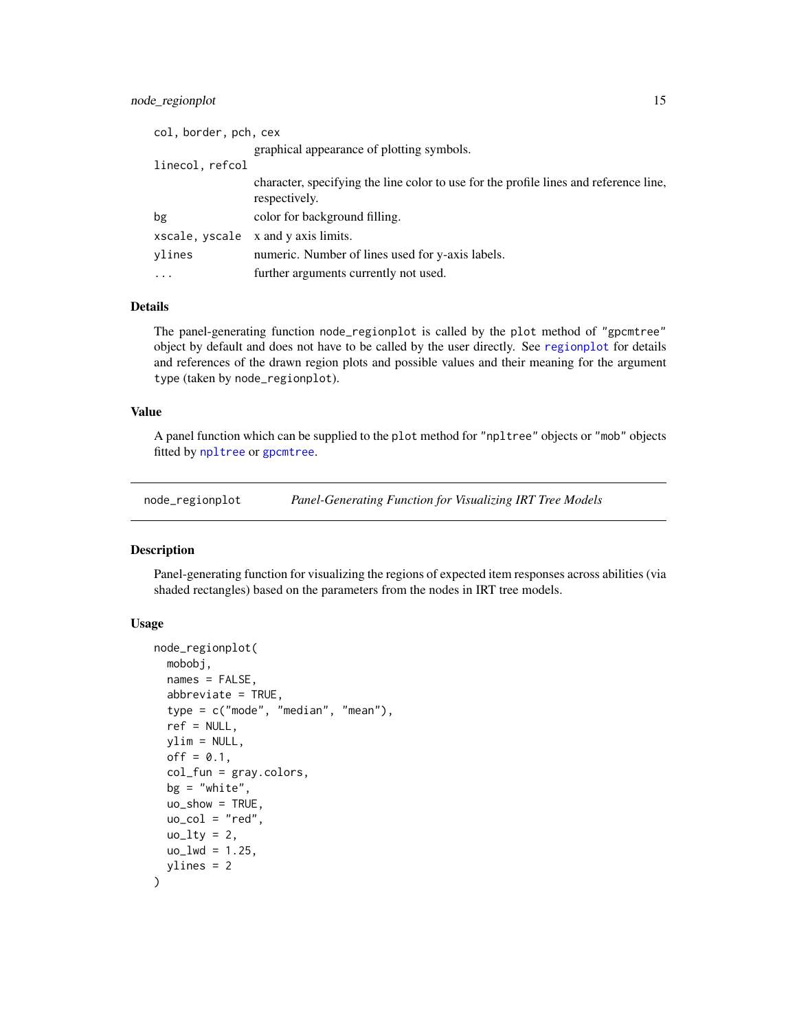# <span id="page-14-0"></span>node\_regionplot 15

| col, border, pch, cex |                                                                                                        |
|-----------------------|--------------------------------------------------------------------------------------------------------|
|                       | graphical appearance of plotting symbols.                                                              |
| linecol, refcol       |                                                                                                        |
|                       | character, specifying the line color to use for the profile lines and reference line,<br>respectively. |
| bg                    | color for background filling.                                                                          |
| xscale, yscale        | x and y axis limits.                                                                                   |
| vlines                | numeric. Number of lines used for y-axis labels.                                                       |
| $\ddotsc$             | further arguments currently not used.                                                                  |

# Details

The panel-generating function node\_regionplot is called by the plot method of "gpcmtree" object by default and does not have to be called by the user directly. See [regionplot](#page-0-0) for details and references of the drawn region plots and possible values and their meaning for the argument type (taken by node\_regionplot).

# Value

A panel function which can be supplied to the plot method for "npltree" objects or "mob" objects fitted by [npltree](#page-15-1) or [gpcmtree](#page-7-1).

<span id="page-14-1"></span>node\_regionplot *Panel-Generating Function for Visualizing IRT Tree Models*

# Description

Panel-generating function for visualizing the regions of expected item responses across abilities (via shaded rectangles) based on the parameters from the nodes in IRT tree models.

# Usage

```
node_regionplot(
 mobobj,
  names = FALSE,
  abbreviate = TRUE,
  type = c("mode", "median", "mean"),ref = NULL,
  ylim = NULL,
  off = 0.1,col_fun = gray.colors,
  bg = "white",
  uo_show = TRUE,
  uo\_col = "red",u_0_lty = 2,
  uo_lwd = 1.25,
  ylines = 2
)
```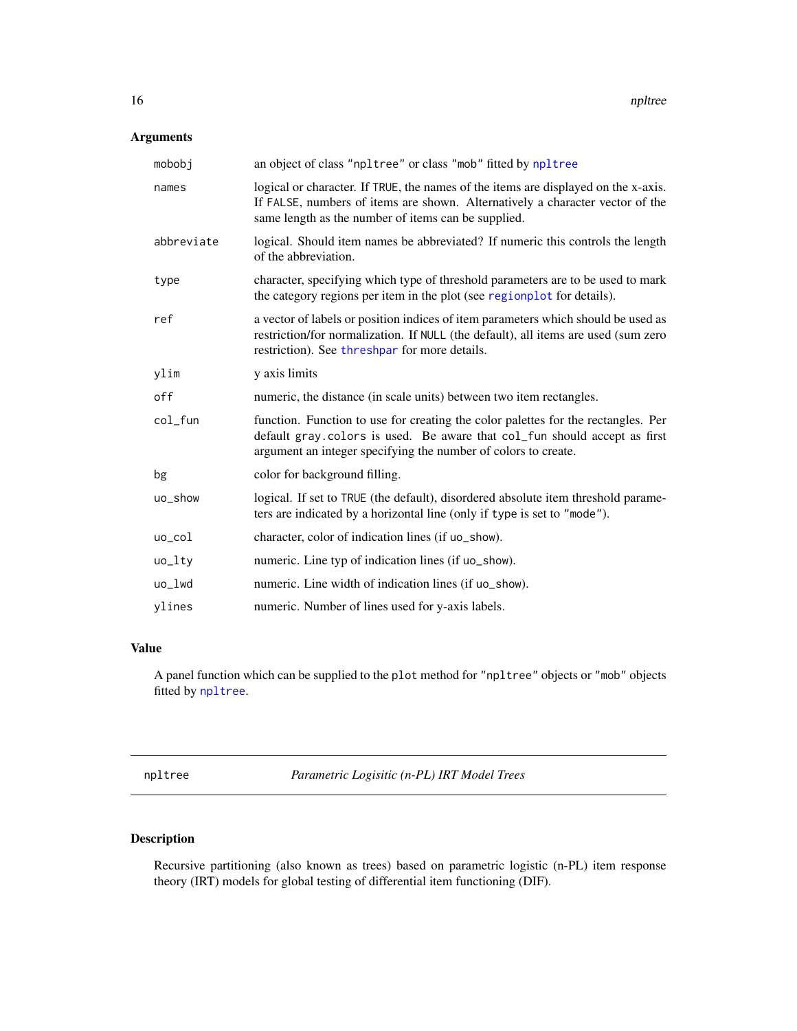# <span id="page-15-0"></span>Arguments

| mobobj     | an object of class "npltree" or class "mob" fitted by npltree                                                                                                                                                                    |
|------------|----------------------------------------------------------------------------------------------------------------------------------------------------------------------------------------------------------------------------------|
| names      | logical or character. If TRUE, the names of the items are displayed on the x-axis.<br>If FALSE, numbers of items are shown. Alternatively a character vector of the<br>same length as the number of items can be supplied.       |
| abbreviate | logical. Should item names be abbreviated? If numeric this controls the length<br>of the abbreviation.                                                                                                                           |
| type       | character, specifying which type of threshold parameters are to be used to mark<br>the category regions per item in the plot (see regionplot for details).                                                                       |
| ref        | a vector of labels or position indices of item parameters which should be used as<br>restriction/for normalization. If NULL (the default), all items are used (sum zero<br>restriction). See threshpar for more details.         |
| ylim       | y axis limits                                                                                                                                                                                                                    |
| off        | numeric, the distance (in scale units) between two item rectangles.                                                                                                                                                              |
| $col_fun$  | function. Function to use for creating the color palettes for the rectangles. Per<br>default gray.colors is used. Be aware that col_fun should accept as first<br>argument an integer specifying the number of colors to create. |
| bg         | color for background filling.                                                                                                                                                                                                    |
| uo_show    | logical. If set to TRUE (the default), disordered absolute item threshold parame-<br>ters are indicated by a horizontal line (only if type is set to "mode").                                                                    |
| uo_col     | character, color of indication lines (if uo_show).                                                                                                                                                                               |
| $uo_l$     | numeric. Line typ of indication lines (if uo_show).                                                                                                                                                                              |
| uo_lwd     | numeric. Line width of indication lines (if uo_show).                                                                                                                                                                            |
| ylines     | numeric. Number of lines used for y-axis labels.                                                                                                                                                                                 |

# Value

A panel function which can be supplied to the plot method for "npltree" objects or "mob" objects fitted by [npltree](#page-15-1).

<span id="page-15-1"></span>npltree *Parametric Logisitic (n-PL) IRT Model Trees*

# Description

Recursive partitioning (also known as trees) based on parametric logistic (n-PL) item response theory (IRT) models for global testing of differential item functioning (DIF).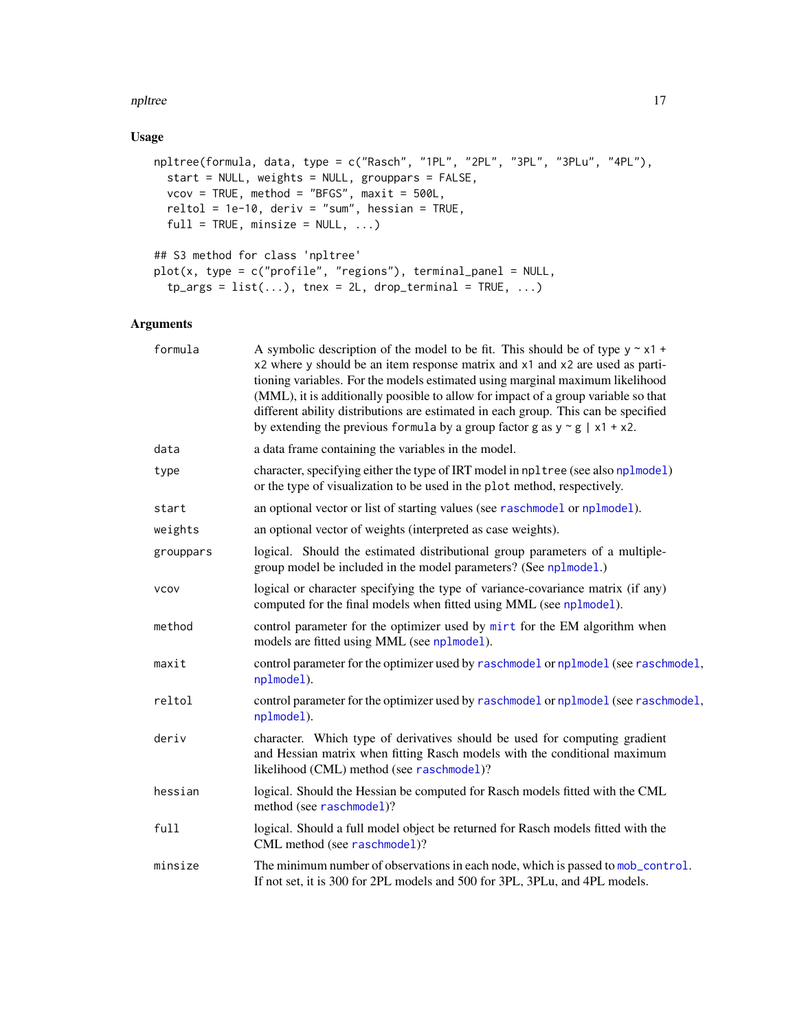#### <span id="page-16-0"></span>npltree that the contract of the contract of the contract of the contract of the contract of the contract of the contract of the contract of the contract of the contract of the contract of the contract of the contract of t

# Usage

```
npltree(formula, data, type = c("Rasch", "1PL", "2PL", "3PL", "3PLu", "4PL"),
  start = NULL, weights = NULL, grouppars = FALSE,
 vcov = TRUE, method = "BFGS", maxit = 500L,reltol = 1e-10, deriv = "sum", hessian = TRUE,
 full = TRUE, minsize = NULL, ...## S3 method for class 'npltree'
```

```
plot(x, type = c("profile", "regions"), terminal_panel = NULL,
  tp_{args} = list(...), tnex = 2L, drop_terminal = TRUE, ...)
```
# Arguments

| formula     | A symbolic description of the model to be fit. This should be of type $y \sim x1 +$<br>x2 where y should be an item response matrix and x1 and x2 are used as parti-<br>tioning variables. For the models estimated using marginal maximum likelihood<br>(MML), it is additionally poosible to allow for impact of a group variable so that<br>different ability distributions are estimated in each group. This can be specified<br>by extending the previous formula by a group factor g as $y \sim g / x1 + x2$ . |
|-------------|----------------------------------------------------------------------------------------------------------------------------------------------------------------------------------------------------------------------------------------------------------------------------------------------------------------------------------------------------------------------------------------------------------------------------------------------------------------------------------------------------------------------|
| data        | a data frame containing the variables in the model.                                                                                                                                                                                                                                                                                                                                                                                                                                                                  |
| type        | character, specifying either the type of IRT model in np1tree (see also np1mode1)<br>or the type of visualization to be used in the plot method, respectively.                                                                                                                                                                                                                                                                                                                                                       |
| start       | an optional vector or list of starting values (see raschmodel or nplmodel).                                                                                                                                                                                                                                                                                                                                                                                                                                          |
| weights     | an optional vector of weights (interpreted as case weights).                                                                                                                                                                                                                                                                                                                                                                                                                                                         |
| grouppars   | logical. Should the estimated distributional group parameters of a multiple-<br>group model be included in the model parameters? (See nplmodel.)                                                                                                                                                                                                                                                                                                                                                                     |
| <b>VCOV</b> | logical or character specifying the type of variance-covariance matrix (if any)<br>computed for the final models when fitted using MML (see nplmodel).                                                                                                                                                                                                                                                                                                                                                               |
| method      | control parameter for the optimizer used by mirt for the EM algorithm when<br>models are fitted using MML (see nplmodel).                                                                                                                                                                                                                                                                                                                                                                                            |
| maxit       | control parameter for the optimizer used by raschmodel or nplmodel (see raschmodel,<br>nplmodel).                                                                                                                                                                                                                                                                                                                                                                                                                    |
| reltol      | control parameter for the optimizer used by raschmodel or nplmodel (see raschmodel,<br>nplmodel).                                                                                                                                                                                                                                                                                                                                                                                                                    |
| deriv       | character. Which type of derivatives should be used for computing gradient<br>and Hessian matrix when fitting Rasch models with the conditional maximum<br>likelihood (CML) method (see raschmodel)?                                                                                                                                                                                                                                                                                                                 |
| hessian     | logical. Should the Hessian be computed for Rasch models fitted with the CML<br>method (see raschmodel)?                                                                                                                                                                                                                                                                                                                                                                                                             |
| full        | logical. Should a full model object be returned for Rasch models fitted with the<br>CML method (see raschmodel)?                                                                                                                                                                                                                                                                                                                                                                                                     |
| minsize     | The minimum number of observations in each node, which is passed to mob_control.<br>If not set, it is 300 for 2PL models and 500 for 3PL, 3PLu, and 4PL models.                                                                                                                                                                                                                                                                                                                                                      |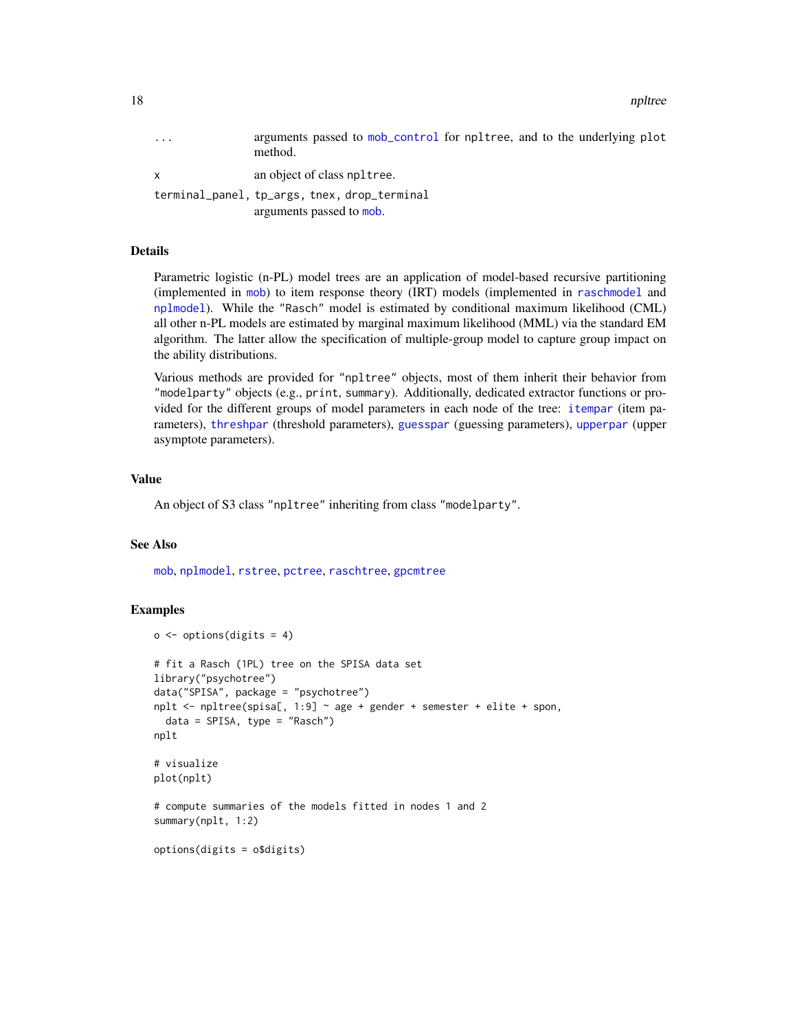<span id="page-17-0"></span>18 npltree

| $\ddotsc$ | arguments passed to mob_control for npltree, and to the underlying plot<br>method. |
|-----------|------------------------------------------------------------------------------------|
| X.        | an object of class npltree.                                                        |
|           | terminal_panel, tp_args, tnex, drop_terminal<br>arguments passed to mob.           |

# Details

Parametric logistic (n-PL) model trees are an application of model-based recursive partitioning (implemented in [mob](#page-0-0)) to item response theory (IRT) models (implemented in [raschmodel](#page-0-0) and [nplmodel](#page-0-0)). While the "Rasch" model is estimated by conditional maximum likelihood (CML) all other n-PL models are estimated by marginal maximum likelihood (MML) via the standard EM algorithm. The latter allow the specification of multiple-group model to capture group impact on the ability distributions.

Various methods are provided for "npltree" objects, most of them inherit their behavior from "modelparty" objects (e.g., print, summary). Additionally, dedicated extractor functions or provided for the different groups of model parameters in each node of the tree: [itempar](#page-0-0) (item parameters), [threshpar](#page-0-0) (threshold parameters), [guesspar](#page-0-0) (guessing parameters), [upperpar](#page-0-0) (upper asymptote parameters).

# Value

An object of S3 class "npltree" inheriting from class "modelparty".

# See Also

[mob](#page-0-0), [nplmodel](#page-0-0), [rstree](#page-22-1), [pctree](#page-18-1), [raschtree](#page-20-1), [gpcmtree](#page-7-1)

```
o \leftarrow options(digits = 4)
# fit a Rasch (1PL) tree on the SPISA data set
library("psychotree")
data("SPISA", package = "psychotree")
nplt \le- npltree(spisa[, 1:9] \sim age + gender + semester + elite + spon,
  data = SPISA, type = "Rasch")
nplt
# visualize
plot(nplt)
# compute summaries of the models fitted in nodes 1 and 2
summary(nplt, 1:2)
options(digits = o$digits)
```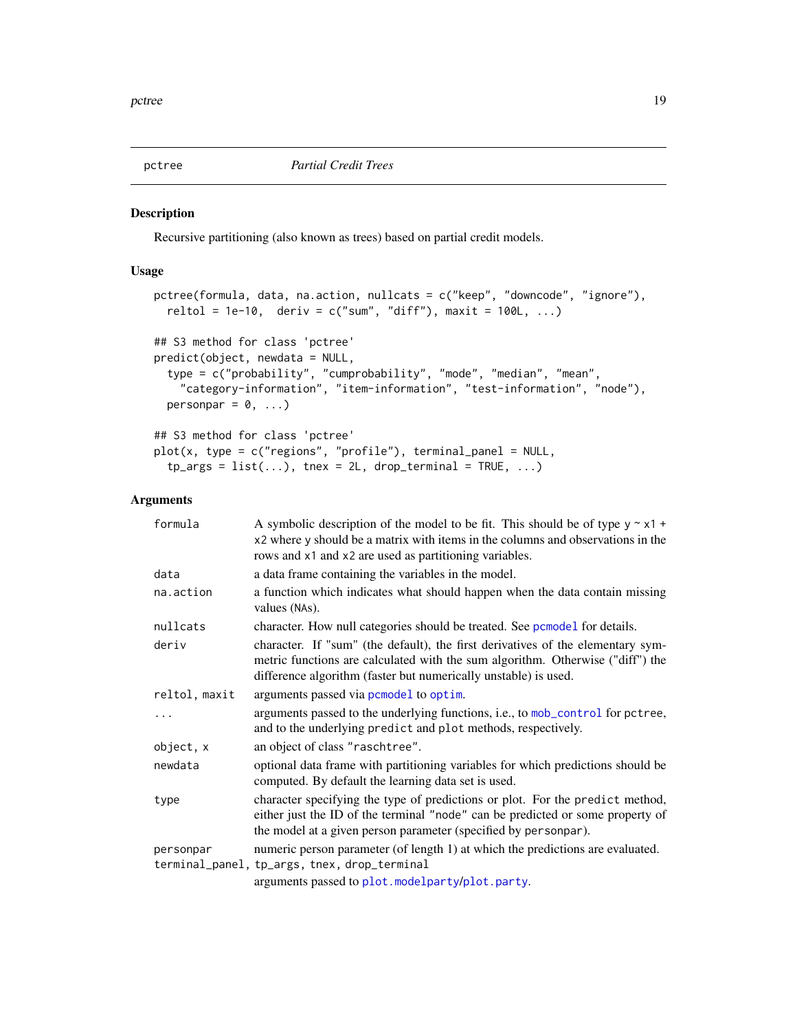<span id="page-18-1"></span><span id="page-18-0"></span>

Recursive partitioning (also known as trees) based on partial credit models.

# Usage

```
pctree(formula, data, na.action, nullcats = c("keep", "downcode", "ignore"),
  reltol = 1e-10, deriv = c("sum", "diff"), maxit = 100L, ...)## S3 method for class 'pctree'
predict(object, newdata = NULL,
  type = c("probability", "cumprobability", "mode", "median", "mean",
    "category-information", "item-information", "test-information", "node"),
 personpar = 0, \ldots)
## S3 method for class 'pctree'
plot(x, type = c("regions", "profile"), terminal\_panel = NULL,tp_{args} = list(...), tnex = 2L, drop_terminal = TRUE, ...)
```
# Arguments

| formula       | A symbolic description of the model to be fit. This should be of type $y \sim x1 +$<br>x2 where y should be a matrix with items in the columns and observations in the<br>rows and x1 and x2 are used as partitioning variables.     |
|---------------|--------------------------------------------------------------------------------------------------------------------------------------------------------------------------------------------------------------------------------------|
| data          | a data frame containing the variables in the model.                                                                                                                                                                                  |
| na.action     | a function which indicates what should happen when the data contain missing<br>values (NAs).                                                                                                                                         |
| nullcats      | character. How null categories should be treated. See pcmodel for details.                                                                                                                                                           |
| deriv         | character. If "sum" (the default), the first derivatives of the elementary sym-<br>metric functions are calculated with the sum algorithm. Otherwise ("diff") the<br>difference algorithm (faster but numerically unstable) is used. |
| reltol, maxit | arguments passed via pcmodel to optim.                                                                                                                                                                                               |
|               | arguments passed to the underlying functions, i.e., to mob_control for pctree,<br>and to the underlying predict and plot methods, respectively.                                                                                      |
| object, x     | an object of class "raschtree".                                                                                                                                                                                                      |
| newdata       | optional data frame with partitioning variables for which predictions should be<br>computed. By default the learning data set is used.                                                                                               |
| type          | character specifying the type of predictions or plot. For the predict method,<br>either just the ID of the terminal "node" can be predicted or some property of<br>the model at a given person parameter (specified by personpar).   |
| personpar     | numeric person parameter (of length 1) at which the predictions are evaluated.<br>terminal_panel, tp_args, tnex, drop_terminal<br>arguments passed to plot.modelparty/plot.party.                                                    |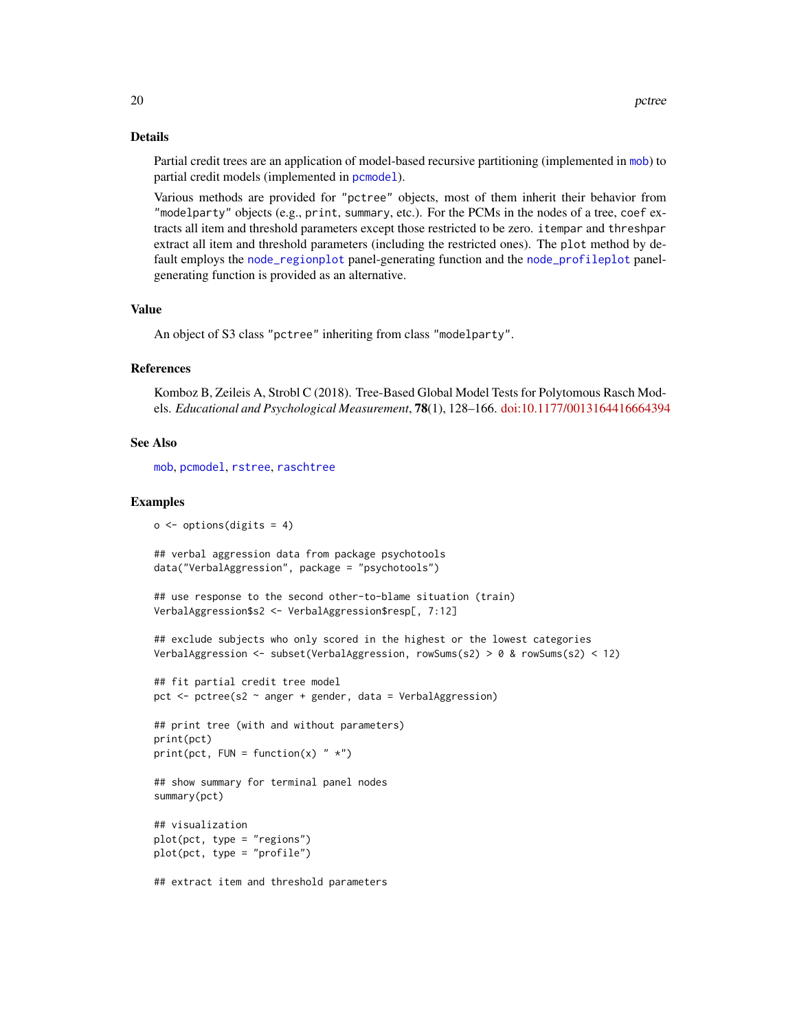# Details

Partial credit trees are an application of model-based recursive partitioning (implemented in [mob](#page-0-0)) to partial credit models (implemented in [pcmodel](#page-0-0)).

Various methods are provided for "pctree" objects, most of them inherit their behavior from "modelparty" objects (e.g., print, summary, etc.). For the PCMs in the nodes of a tree, coef extracts all item and threshold parameters except those restricted to be zero. itempar and threshpar extract all item and threshold parameters (including the restricted ones). The plot method by default employs the [node\\_regionplot](#page-14-1) panel-generating function and the [node\\_profileplot](#page-13-1) panelgenerating function is provided as an alternative.

# Value

An object of S3 class "pctree" inheriting from class "modelparty".

#### References

Komboz B, Zeileis A, Strobl C (2018). Tree-Based Global Model Tests for Polytomous Rasch Models. *Educational and Psychological Measurement*, 78(1), 128–166. [doi:10.1177/0013164416664394](https://doi.org/10.1177/0013164416664394)

#### See Also

[mob](#page-0-0), [pcmodel](#page-0-0), [rstree](#page-22-1), [raschtree](#page-20-1)

 $o \leftarrow$  options(digits = 4)

```
## verbal aggression data from package psychotools
data("VerbalAggression", package = "psychotools")
## use response to the second other-to-blame situation (train)
VerbalAggression$s2 <- VerbalAggression$resp[, 7:12]
## exclude subjects who only scored in the highest or the lowest categories
VerbalAggression <- subset(VerbalAggression, rowSums(s2) > 0 & rowSums(s2) < 12)
## fit partial credit tree model
pct <- pctree(s2 ~ anger + gender, data = VerbalAggression)
## print tree (with and without parameters)
print(pct)
print(pct, FUN = function(x) " *")## show summary for terminal panel nodes
summary(pct)
## visualization
plot(pct, type = "regions")
plot(pct, type = "profile")
## extract item and threshold parameters
```
<span id="page-19-0"></span>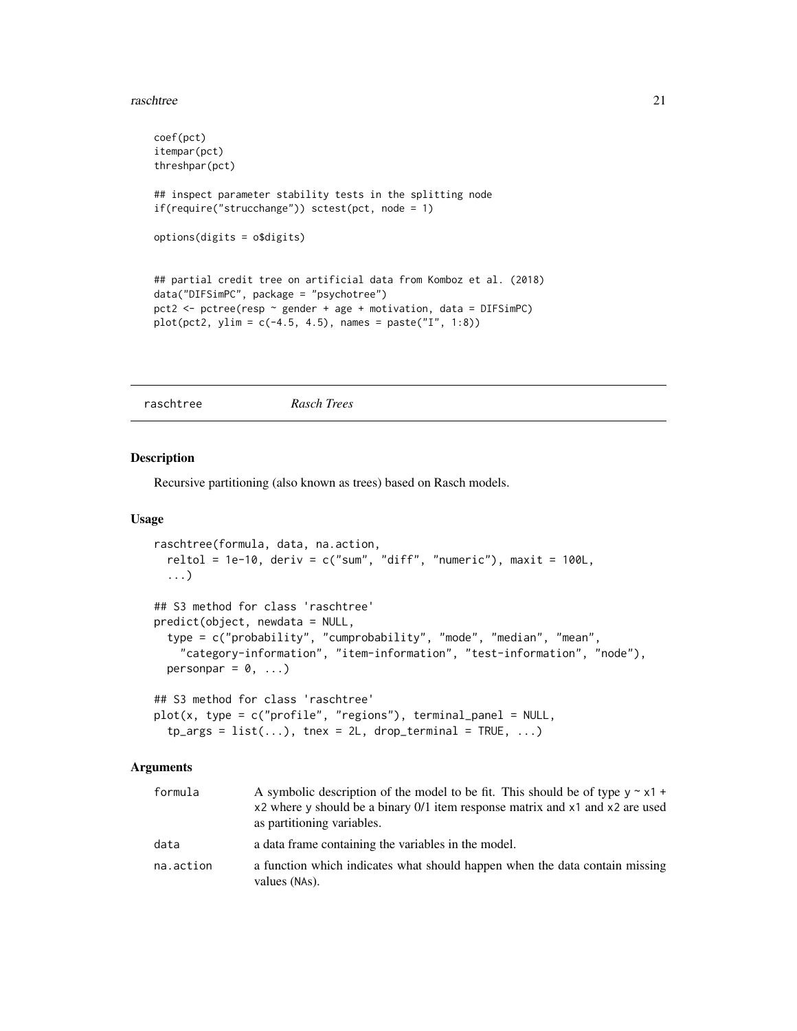#### <span id="page-20-0"></span>raschtree 21

```
coef(pct)
itempar(pct)
threshpar(pct)
## inspect parameter stability tests in the splitting node
if(require("strucchange")) sctest(pct, node = 1)
options(digits = o$digits)
## partial credit tree on artificial data from Komboz et al. (2018)
data("DIFSimPC", package = "psychotree")
pct2 <- pctree(resp ~ gender + age + motivation, data = DIFSimPC)
plot(pct2, ylim = c(-4.5, 4.5), names = paste("I", 1:8))
```
<span id="page-20-1"></span>raschtree *Rasch Trees*

# Description

Recursive partitioning (also known as trees) based on Rasch models.

# Usage

```
raschtree(formula, data, na.action,
  reltol = 1e-10, deriv = c("sum", "diff", "numeric"), maxit = 100L,...)
## S3 method for class 'raschtree'
predict(object, newdata = NULL,
  type = c("probability", "cumprobability", "mode", "median", "mean",
    "category-information", "item-information", "test-information", "node"),
 personpar = 0, \ldots)
## S3 method for class 'raschtree'
plot(x, type = c("profile", "regions"), terminal\_panel = NULL,tp_{args} = list(...), tnex = 2L, drop_terminal = TRUE, ...)
```
# Arguments

| formula   | A symbolic description of the model to be fit. This should be of type $y \sim x1 +$<br>x2 where y should be a binary 0/1 item response matrix and x1 and x2 are used<br>as partitioning variables. |
|-----------|----------------------------------------------------------------------------------------------------------------------------------------------------------------------------------------------------|
| data      | a data frame containing the variables in the model.                                                                                                                                                |
| na.action | a function which indicates what should happen when the data contain missing<br>values (NAs).                                                                                                       |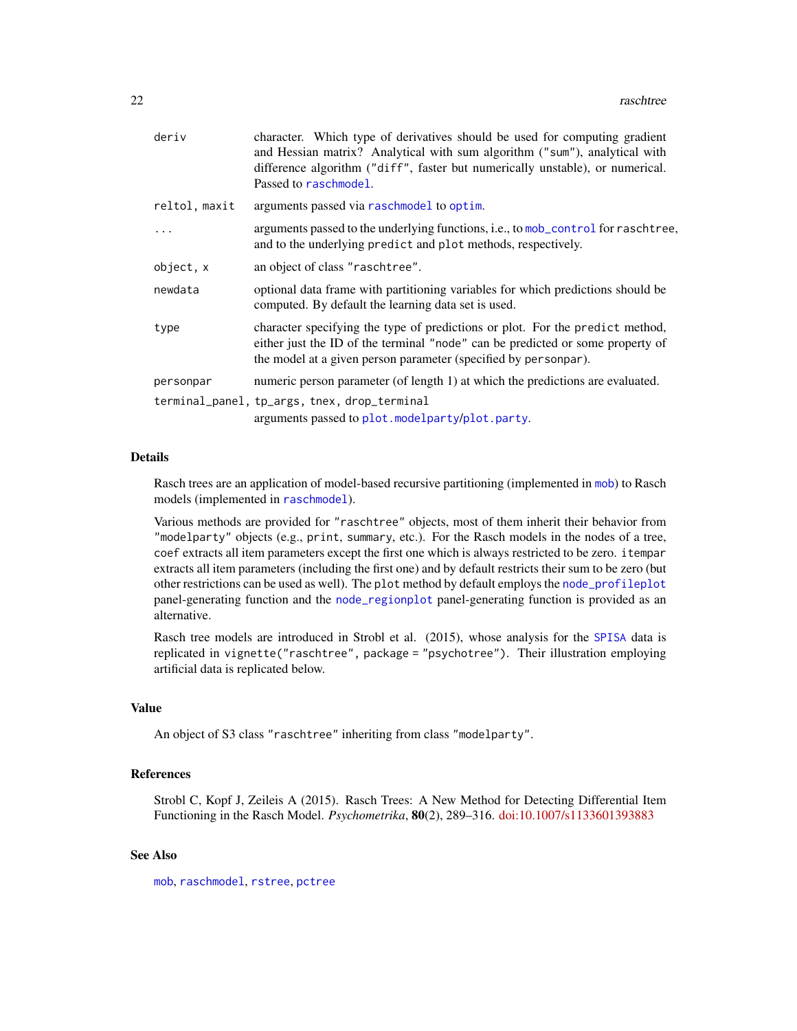<span id="page-21-0"></span>

| character. Which type of derivatives should be used for computing gradient<br>and Hessian matrix? Analytical with sum algorithm ("sum"), analytical with<br>difference algorithm ("diff", faster but numerically unstable), or numerical.<br>Passed to raschmodel. |
|--------------------------------------------------------------------------------------------------------------------------------------------------------------------------------------------------------------------------------------------------------------------|
| arguments passed via raschmodel to optim.                                                                                                                                                                                                                          |
| arguments passed to the underlying functions, i.e., to mob_control for raschtree,<br>and to the underlying predict and plot methods, respectively.                                                                                                                 |
| an object of class "raschtree".                                                                                                                                                                                                                                    |
| optional data frame with partitioning variables for which predictions should be<br>computed. By default the learning data set is used.                                                                                                                             |
| character specifying the type of predictions or plot. For the predict method,<br>either just the ID of the terminal "node" can be predicted or some property of<br>the model at a given person parameter (specified by personpar).                                 |
| numeric person parameter (of length 1) at which the predictions are evaluated.                                                                                                                                                                                     |
| terminal_panel, tp_args, tnex, drop_terminal<br>arguments passed to plot.modelparty/plot.party.                                                                                                                                                                    |
|                                                                                                                                                                                                                                                                    |

# Details

Rasch trees are an application of model-based recursive partitioning (implemented in [mob](#page-0-0)) to Rasch models (implemented in [raschmodel](#page-0-0)).

Various methods are provided for "raschtree" objects, most of them inherit their behavior from "modelparty" objects (e.g., print, summary, etc.). For the Rasch models in the nodes of a tree, coef extracts all item parameters except the first one which is always restricted to be zero. itempar extracts all item parameters (including the first one) and by default restricts their sum to be zero (but other restrictions can be used as well). The plot method by default employs the [node\\_profileplot](#page-13-1) panel-generating function and the [node\\_regionplot](#page-14-1) panel-generating function is provided as an alternative.

Rasch tree models are introduced in Strobl et al. (2015), whose analysis for the [SPISA](#page-25-1) data is replicated in vignette("raschtree", package = "psychotree"). Their illustration employing artificial data is replicated below.

# Value

An object of S3 class "raschtree" inheriting from class "modelparty".

# References

Strobl C, Kopf J, Zeileis A (2015). Rasch Trees: A New Method for Detecting Differential Item Functioning in the Rasch Model. *Psychometrika*, 80(2), 289–316. [doi:10.1007/s1133601393883](https://doi.org/10.1007/s11336-013-9388-3)

# See Also

[mob](#page-0-0), [raschmodel](#page-0-0), [rstree](#page-22-1), [pctree](#page-18-1)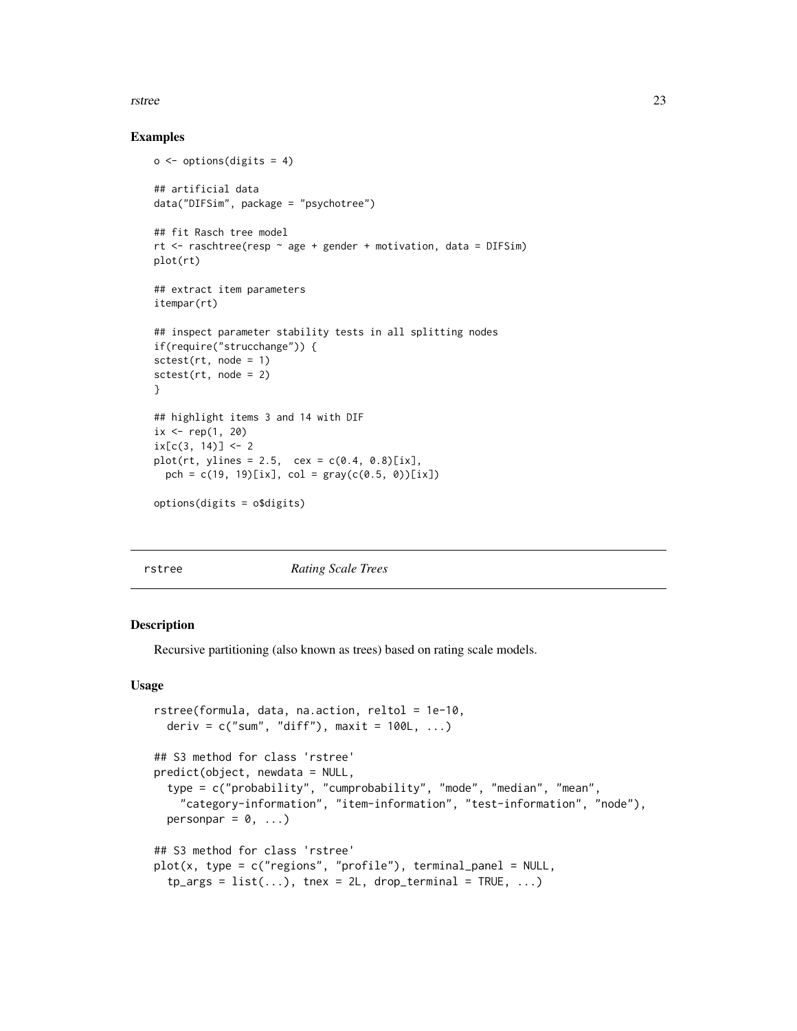#### <span id="page-22-0"></span>rstree 23

# Examples

```
o \leftarrow options(digits = 4)
## artificial data
data("DIFSim", package = "psychotree")
## fit Rasch tree model
rt <- raschtree(resp ~ age + gender + motivation, data = DIFSim)
plot(rt)
## extract item parameters
itempar(rt)
## inspect parameter stability tests in all splitting nodes
if(require("strucchange")) {
set(rt, node = 1)sctest(rt, node = 2)
}
## highlight items 3 and 14 with DIF
ix \leq rep(1, 20)ix[c(3, 14)] < -2plot(rt, ylines = 2.5, cex = c(0.4, 0.8)[ix],pch = c(19, 19)[ix], col = gray(c(0.5, 0))[ix])options(digits = o$digits)
```
<span id="page-22-1"></span>

rstree *Rating Scale Trees*

#### **Description**

Recursive partitioning (also known as trees) based on rating scale models.

#### Usage

```
rstree(formula, data, na.action, reltol = 1e-10,
 deriv = c("sum", "diff"), maxit = 100L, ...)## S3 method for class 'rstree'
predict(object, newdata = NULL,
  type = c("probability", "cumprobability", "mode", "median", "mean",
    "category-information", "item-information", "test-information", "node"),
 personpar = 0, \ldots)
## S3 method for class 'rstree'
plot(x, type = c("regions", "profile"), terminal_panel = NULL,
  tp_{args} = list(...), tnex = 2L, drop_terminal = TRUE, ...)
```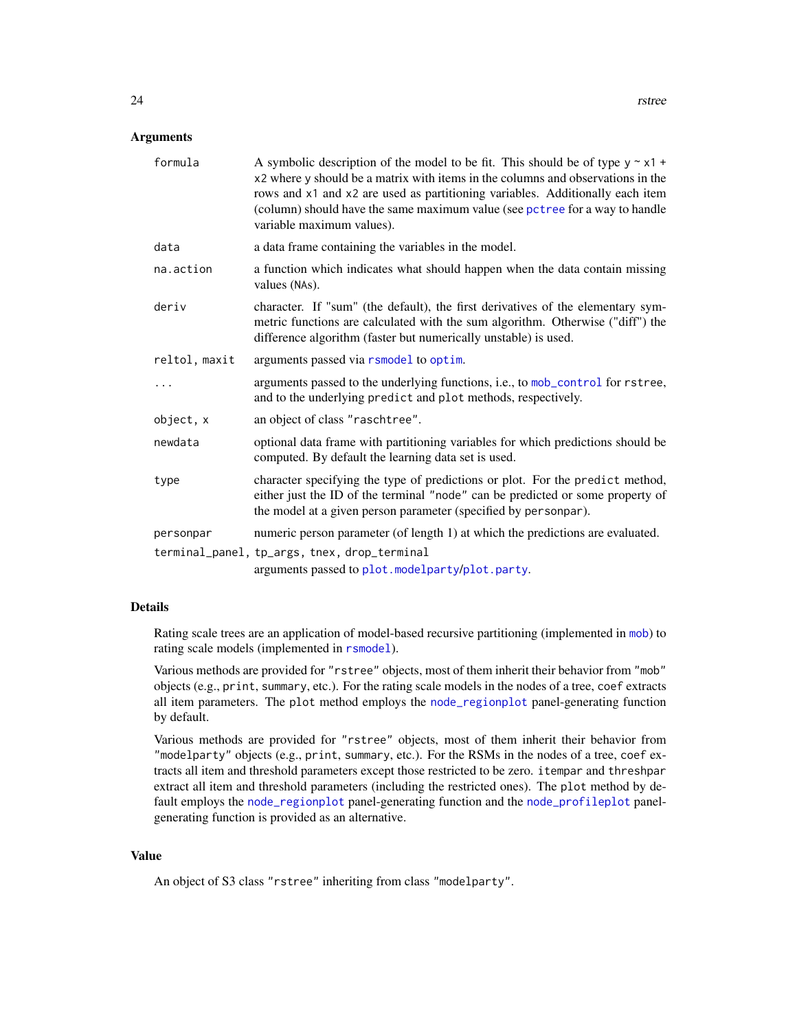#### <span id="page-23-0"></span>**Arguments**

| formula       | A symbolic description of the model to be fit. This should be of type $y \sim x1 +$<br>x2 where y should be a matrix with items in the columns and observations in the<br>rows and x1 and x2 are used as partitioning variables. Additionally each item<br>(column) should have the same maximum value (see pctree for a way to handle<br>variable maximum values). |
|---------------|---------------------------------------------------------------------------------------------------------------------------------------------------------------------------------------------------------------------------------------------------------------------------------------------------------------------------------------------------------------------|
| data          | a data frame containing the variables in the model.                                                                                                                                                                                                                                                                                                                 |
| na.action     | a function which indicates what should happen when the data contain missing<br>values (NAs).                                                                                                                                                                                                                                                                        |
| deriv         | character. If "sum" (the default), the first derivatives of the elementary sym-<br>metric functions are calculated with the sum algorithm. Otherwise ("diff") the<br>difference algorithm (faster but numerically unstable) is used.                                                                                                                                |
| reltol, maxit | arguments passed via rsmodel to optim.                                                                                                                                                                                                                                                                                                                              |
|               | arguments passed to the underlying functions, i.e., to mob_control for rstree,<br>and to the underlying predict and plot methods, respectively.                                                                                                                                                                                                                     |
| object, x     | an object of class "raschtree".                                                                                                                                                                                                                                                                                                                                     |
| newdata       | optional data frame with partitioning variables for which predictions should be<br>computed. By default the learning data set is used.                                                                                                                                                                                                                              |
| type          | character specifying the type of predictions or plot. For the predict method,<br>either just the ID of the terminal "node" can be predicted or some property of<br>the model at a given person parameter (specified by personpar).                                                                                                                                  |
| personpar     | numeric person parameter (of length 1) at which the predictions are evaluated.                                                                                                                                                                                                                                                                                      |
|               | terminal_panel, tp_args, tnex, drop_terminal<br>arguments passed to plot.modelparty/plot.party.                                                                                                                                                                                                                                                                     |

#### Details

Rating scale trees are an application of model-based recursive partitioning (implemented in [mob](#page-0-0)) to rating scale models (implemented in [rsmodel](#page-0-0)).

Various methods are provided for "rstree" objects, most of them inherit their behavior from "mob" objects (e.g., print, summary, etc.). For the rating scale models in the nodes of a tree, coef extracts all item parameters. The plot method employs the [node\\_regionplot](#page-14-1) panel-generating function by default.

Various methods are provided for "rstree" objects, most of them inherit their behavior from "modelparty" objects (e.g., print, summary, etc.). For the RSMs in the nodes of a tree, coef extracts all item and threshold parameters except those restricted to be zero. itempar and threshpar extract all item and threshold parameters (including the restricted ones). The plot method by default employs the [node\\_regionplot](#page-14-1) panel-generating function and the [node\\_profileplot](#page-13-1) panelgenerating function is provided as an alternative.

# Value

An object of S3 class "rstree" inheriting from class "modelparty".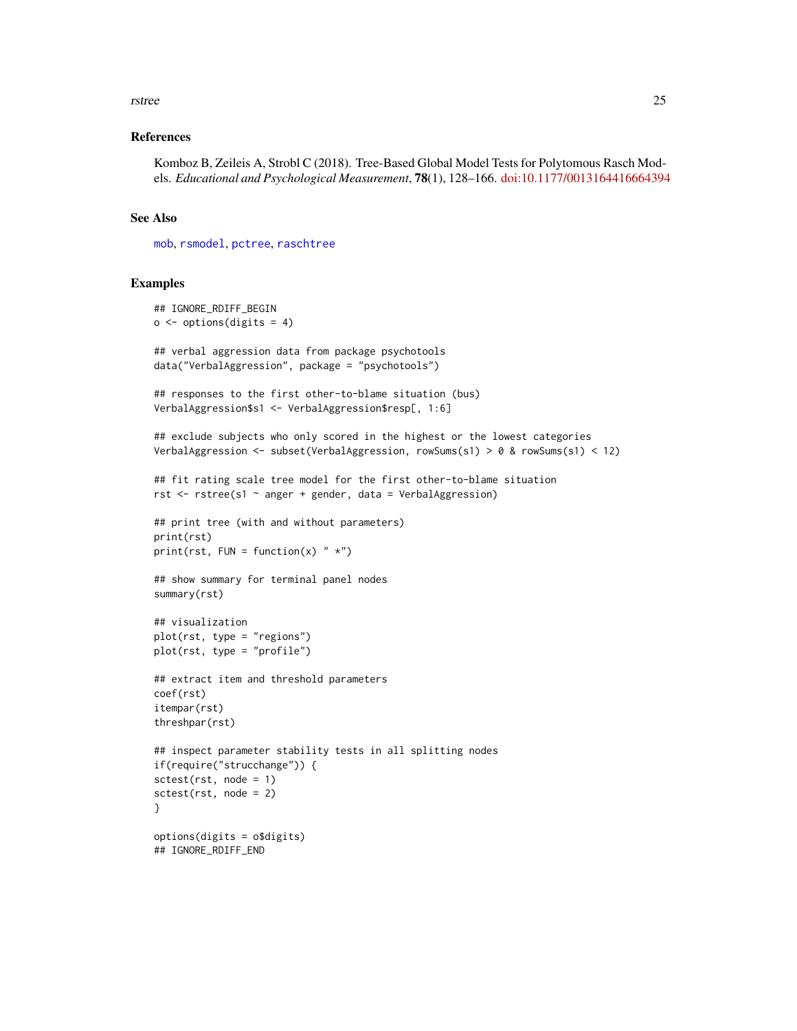#### <span id="page-24-0"></span>rstree 25

# References

Komboz B, Zeileis A, Strobl C (2018). Tree-Based Global Model Tests for Polytomous Rasch Models. *Educational and Psychological Measurement*, 78(1), 128–166. [doi:10.1177/0013164416664394](https://doi.org/10.1177/0013164416664394)

#### See Also

[mob](#page-0-0), [rsmodel](#page-0-0), [pctree](#page-18-1), [raschtree](#page-20-1)

```
## IGNORE_RDIFF_BEGIN
o \leftarrow options(digits = 4)
## verbal aggression data from package psychotools
data("VerbalAggression", package = "psychotools")
## responses to the first other-to-blame situation (bus)
VerbalAggression$s1 <- VerbalAggression$resp[, 1:6]
## exclude subjects who only scored in the highest or the lowest categories
VerbalAggression <- subset(VerbalAggression, rowSums(s1) > 0 & rowSums(s1) < 12)
## fit rating scale tree model for the first other-to-blame situation
rst <- rstree(s1 ~ anger + gender, data = VerbalAggression)
## print tree (with and without parameters)
print(rst)
print(rst, FUN = function(x) "*")
## show summary for terminal panel nodes
summary(rst)
## visualization
plot(rst, type = "regions")
plot(rst, type = "profile")
## extract item and threshold parameters
coef(rst)
itempar(rst)
threshpar(rst)
## inspect parameter stability tests in all splitting nodes
if(require("strucchange")) {
sctest(rst, node = 1)
sctest(rst, node = 2)
}
options(digits = o$digits)
## IGNORE_RDIFF_END
```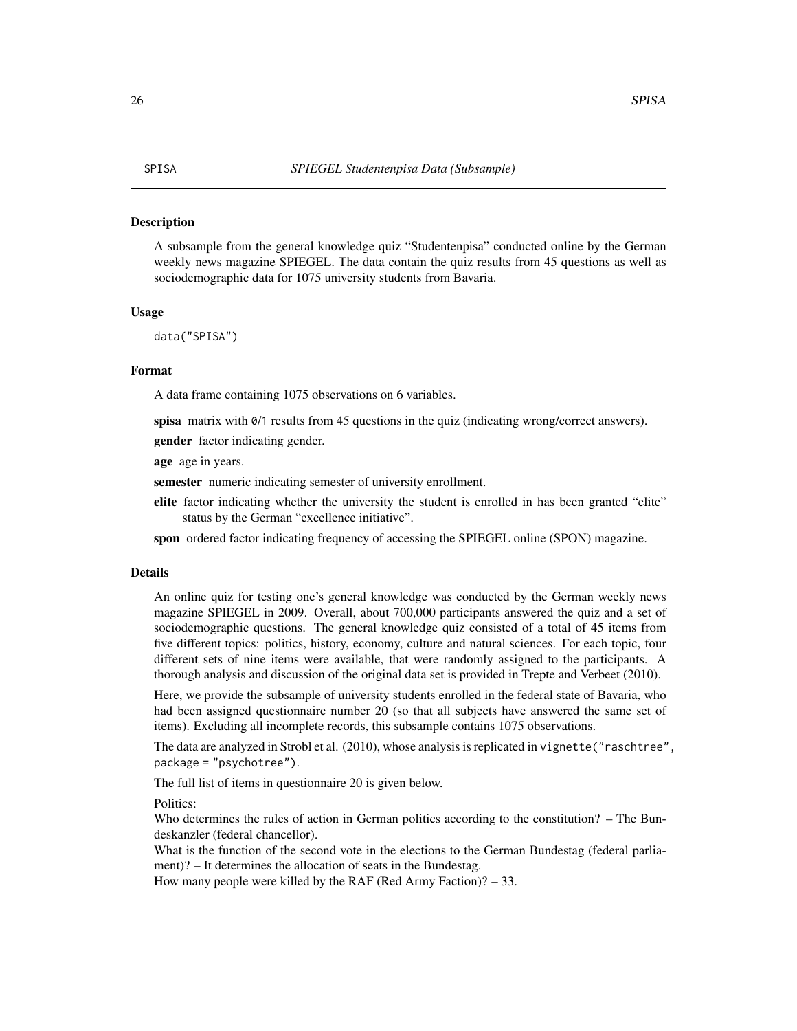<span id="page-25-1"></span><span id="page-25-0"></span>A subsample from the general knowledge quiz "Studentenpisa" conducted online by the German weekly news magazine SPIEGEL. The data contain the quiz results from 45 questions as well as sociodemographic data for 1075 university students from Bavaria.

#### Usage

data("SPISA")

# Format

A data frame containing 1075 observations on 6 variables.

spisa matrix with  $\theta/1$  results from 45 questions in the quiz (indicating wrong/correct answers).

**gender** factor indicating gender.

age age in years.

semester numeric indicating semester of university enrollment.

elite factor indicating whether the university the student is enrolled in has been granted "elite" status by the German "excellence initiative".

spon ordered factor indicating frequency of accessing the SPIEGEL online (SPON) magazine.

#### Details

An online quiz for testing one's general knowledge was conducted by the German weekly news magazine SPIEGEL in 2009. Overall, about 700,000 participants answered the quiz and a set of sociodemographic questions. The general knowledge quiz consisted of a total of 45 items from five different topics: politics, history, economy, culture and natural sciences. For each topic, four different sets of nine items were available, that were randomly assigned to the participants. A thorough analysis and discussion of the original data set is provided in Trepte and Verbeet (2010).

Here, we provide the subsample of university students enrolled in the federal state of Bavaria, who had been assigned questionnaire number 20 (so that all subjects have answered the same set of items). Excluding all incomplete records, this subsample contains 1075 observations.

The data are analyzed in Strobl et al. (2010), whose analysis is replicated in vignette("raschtree", package = "psychotree").

The full list of items in questionnaire 20 is given below.

Politics:

Who determines the rules of action in German politics according to the constitution? – The Bundeskanzler (federal chancellor).

What is the function of the second vote in the elections to the German Bundestag (federal parliament)? – It determines the allocation of seats in the Bundestag.

How many people were killed by the RAF (Red Army Faction)? – 33.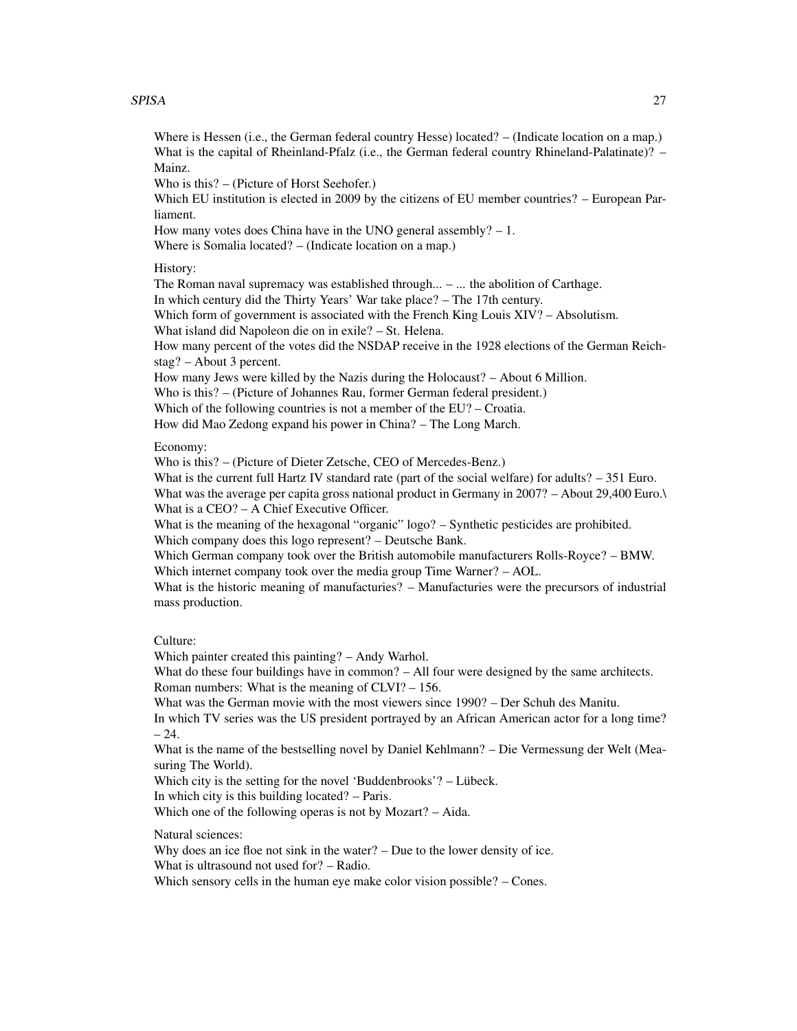### SPISA 27

Where is Hessen (i.e., the German federal country Hesse) located? – (Indicate location on a map.) What is the capital of Rheinland-Pfalz (i.e., the German federal country Rhineland-Palatinate)? – Mainz.

Who is this? – (Picture of Horst Seehofer.)

Which EU institution is elected in 2009 by the citizens of EU member countries? – European Parliament.

How many votes does China have in the UNO general assembly?  $-1$ .

Where is Somalia located? – (Indicate location on a map.)

History:

The Roman naval supremacy was established through... – ... the abolition of Carthage.

In which century did the Thirty Years' War take place? – The 17th century.

Which form of government is associated with the French King Louis XIV? - Absolutism.

What island did Napoleon die on in exile? – St. Helena.

How many percent of the votes did the NSDAP receive in the 1928 elections of the German Reichstag? – About 3 percent.

How many Jews were killed by the Nazis during the Holocaust? – About 6 Million.

Who is this? – (Picture of Johannes Rau, former German federal president.)

Which of the following countries is not a member of the EU? – Croatia.

How did Mao Zedong expand his power in China? – The Long March.

# Economy:

Who is this? – (Picture of Dieter Zetsche, CEO of Mercedes-Benz.)

What is the current full Hartz IV standard rate (part of the social welfare) for adults?  $-351$  Euro. What was the average per capita gross national product in Germany in 2007? – About 29,400 Euro.\ What is a CEO? – A Chief Executive Officer.

What is the meaning of the hexagonal "organic" logo? – Synthetic pesticides are prohibited. Which company does this logo represent? – Deutsche Bank.

Which German company took over the British automobile manufacturers Rolls-Royce? – BMW. Which internet company took over the media group Time Warner? – AOL.

What is the historic meaning of manufacturies? – Manufacturies were the precursors of industrial mass production.

# Culture:

Which painter created this painting? – Andy Warhol.

What do these four buildings have in common? – All four were designed by the same architects. Roman numbers: What is the meaning of CLVI? – 156.

What was the German movie with the most viewers since 1990? – Der Schuh des Manitu.

In which TV series was the US president portrayed by an African American actor for a long time?  $-24.$ 

What is the name of the bestselling novel by Daniel Kehlmann? – Die Vermessung der Welt (Measuring The World).

Which city is the setting for the novel 'Buddenbrooks'? – Lübeck.

In which city is this building located? – Paris.

Which one of the following operas is not by Mozart? – Aida.

Natural sciences:

Why does an ice floe not sink in the water? – Due to the lower density of ice.

What is ultrasound not used for? – Radio.

Which sensory cells in the human eye make color vision possible? – Cones.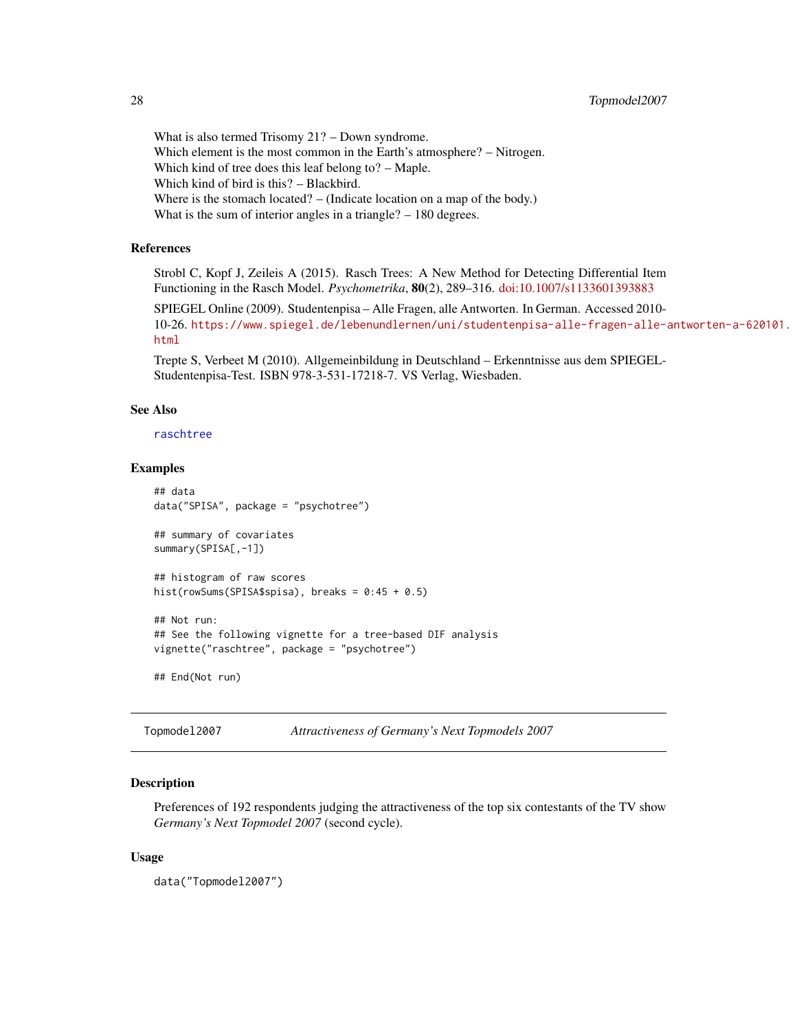What is also termed Trisomy 21? – Down syndrome. Which element is the most common in the Earth's atmosphere? – Nitrogen. Which kind of tree does this leaf belong to? – Maple. Which kind of bird is this? – Blackbird. Where is the stomach located? – (Indicate location on a map of the body.) What is the sum of interior angles in a triangle? – 180 degrees.

# References

Strobl C, Kopf J, Zeileis A (2015). Rasch Trees: A New Method for Detecting Differential Item Functioning in the Rasch Model. *Psychometrika*, 80(2), 289–316. [doi:10.1007/s1133601393883](https://doi.org/10.1007/s11336-013-9388-3)

SPIEGEL Online (2009). Studentenpisa – Alle Fragen, alle Antworten. In German. Accessed 2010- 10-26. [https://www.spiegel.de/lebenundlernen/uni/studentenpisa-alle-fragen-alle-a](https://www.spiegel.de/lebenundlernen/uni/studentenpisa-alle-fragen-alle-antworten-a-620101.html)ntworten-a-620101. [html](https://www.spiegel.de/lebenundlernen/uni/studentenpisa-alle-fragen-alle-antworten-a-620101.html)

Trepte S, Verbeet M (2010). Allgemeinbildung in Deutschland – Erkenntnisse aus dem SPIEGEL-Studentenpisa-Test. ISBN 978-3-531-17218-7. VS Verlag, Wiesbaden.

# See Also

# [raschtree](#page-20-1)

# Examples

```
## data
data("SPISA", package = "psychotree")
## summary of covariates
summary(SPISA[,-1])
## histogram of raw scores
hist(rowSums(SPISA$spisa), breaks = 0:45 + 0.5)
## Not run:
## See the following vignette for a tree-based DIF analysis
vignette("raschtree", package = "psychotree")
## End(Not run)
```
Topmodel2007 *Attractiveness of Germany's Next Topmodels 2007*

#### **Description**

Preferences of 192 respondents judging the attractiveness of the top six contestants of the TV show *Germany's Next Topmodel 2007* (second cycle).

#### Usage

data("Topmodel2007")

<span id="page-27-0"></span>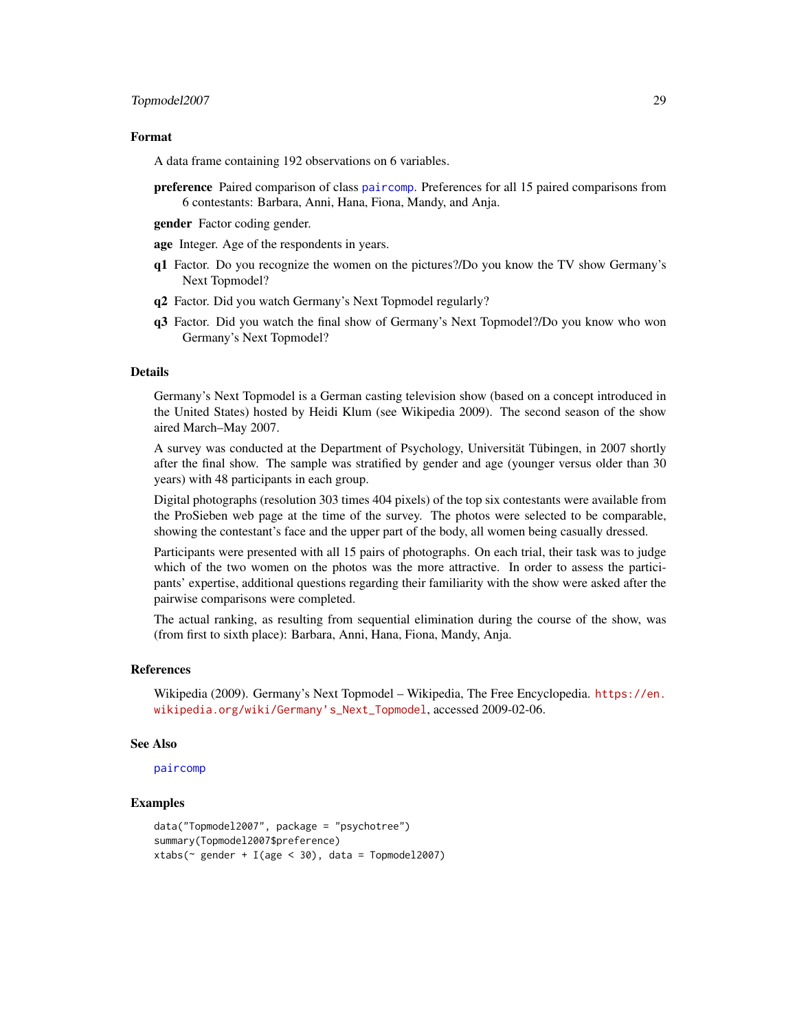#### <span id="page-28-0"></span>Format

A data frame containing 192 observations on 6 variables.

preference Paired comparison of class [paircomp](#page-0-0). Preferences for all 15 paired comparisons from 6 contestants: Barbara, Anni, Hana, Fiona, Mandy, and Anja.

gender Factor coding gender.

age Integer. Age of the respondents in years.

- q1 Factor. Do you recognize the women on the pictures?/Do you know the TV show Germany's Next Topmodel?
- q2 Factor. Did you watch Germany's Next Topmodel regularly?
- q3 Factor. Did you watch the final show of Germany's Next Topmodel?/Do you know who won Germany's Next Topmodel?

# Details

Germany's Next Topmodel is a German casting television show (based on a concept introduced in the United States) hosted by Heidi Klum (see Wikipedia 2009). The second season of the show aired March–May 2007.

A survey was conducted at the Department of Psychology, Universität Tübingen, in 2007 shortly after the final show. The sample was stratified by gender and age (younger versus older than 30 years) with 48 participants in each group.

Digital photographs (resolution 303 times 404 pixels) of the top six contestants were available from the ProSieben web page at the time of the survey. The photos were selected to be comparable, showing the contestant's face and the upper part of the body, all women being casually dressed.

Participants were presented with all 15 pairs of photographs. On each trial, their task was to judge which of the two women on the photos was the more attractive. In order to assess the participants' expertise, additional questions regarding their familiarity with the show were asked after the pairwise comparisons were completed.

The actual ranking, as resulting from sequential elimination during the course of the show, was (from first to sixth place): Barbara, Anni, Hana, Fiona, Mandy, Anja.

#### References

Wikipedia (2009). Germany's Next Topmodel – Wikipedia, The Free Encyclopedia. [https://en.](https://en.wikipedia.org/wiki/Germany) [wikipedia.org/wiki/Germany's\\_Next\\_Topmodel](https://en.wikipedia.org/wiki/Germany), accessed 2009-02-06.

# See Also

[paircomp](#page-0-0)

```
data("Topmodel2007", package = "psychotree")
summary(Topmodel2007$preference)
xtabs(\sim gender + I(age \lt 30), data = Topmodel2007)
```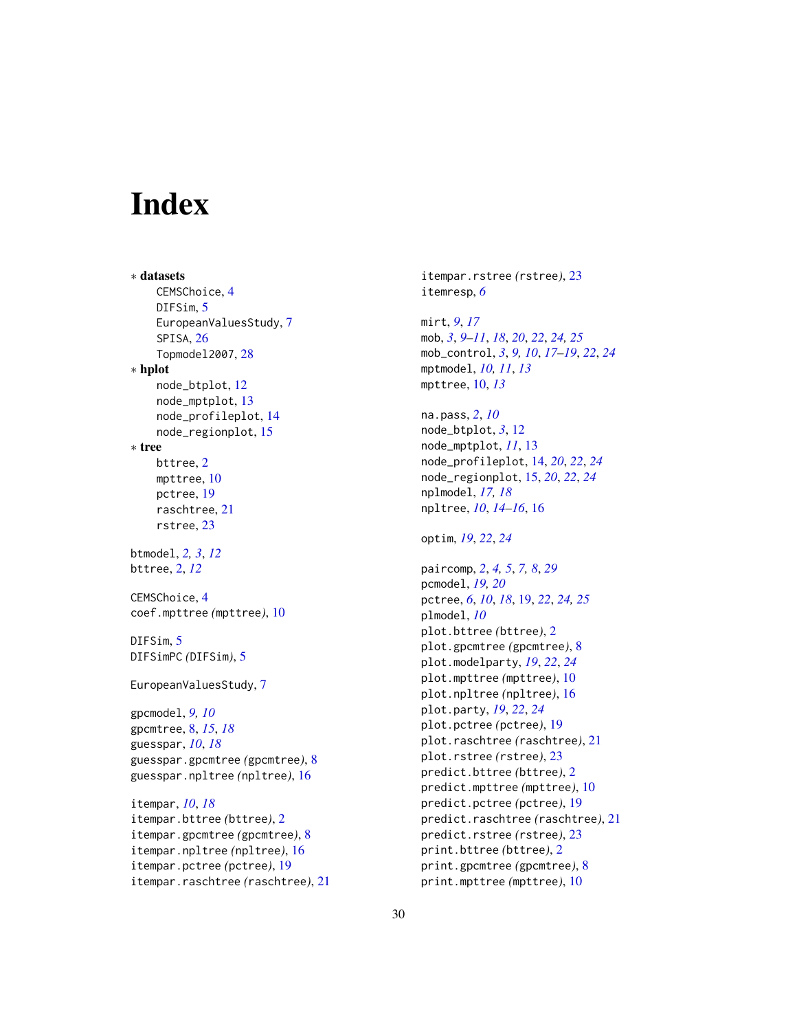# <span id="page-29-0"></span>**Index**

∗ datasets CEMSChoice, [4](#page-3-0) DIFSim, [5](#page-4-0) EuropeanValuesStudy, [7](#page-6-0) SPISA, [26](#page-25-0) Topmodel2007, [28](#page-27-0) ∗ hplot node\_btplot, [12](#page-11-0) node\_mptplot, [13](#page-12-0) node\_profileplot, [14](#page-13-0) node\_regionplot, [15](#page-14-0) ∗ tree bttree, [2](#page-1-0) mpttree, [10](#page-9-0) pctree, [19](#page-18-0) raschtree, [21](#page-20-0) rstree, [23](#page-22-0) btmodel, *[2,](#page-1-0) [3](#page-2-0)*, *[12](#page-11-0)* bttree, [2,](#page-1-0) *[12](#page-11-0)* CEMSChoice, [4](#page-3-0) coef.mpttree *(*mpttree*)*, [10](#page-9-0) DIFSim, [5](#page-4-0) DIFSimPC *(*DIFSim*)*, [5](#page-4-0) EuropeanValuesStudy, [7](#page-6-0) gpcmodel, *[9,](#page-8-0) [10](#page-9-0)* gpcmtree, [8,](#page-7-0) *[15](#page-14-0)*, *[18](#page-17-0)* guesspar, *[10](#page-9-0)*, *[18](#page-17-0)* guesspar.gpcmtree *(*gpcmtree*)*, [8](#page-7-0) guesspar.npltree *(*npltree*)*, [16](#page-15-0) itempar, *[10](#page-9-0)*, *[18](#page-17-0)* itempar.bttree *(*bttree*)*, [2](#page-1-0) itempar.gpcmtree *(*gpcmtree*)*, [8](#page-7-0) itempar.npltree *(*npltree*)*, [16](#page-15-0) itempar.pctree *(*pctree*)*, [19](#page-18-0) itempar.raschtree *(*raschtree*)*, [21](#page-20-0)

itemresp, *[6](#page-5-0)* mirt, *[9](#page-8-0)*, *[17](#page-16-0)* mob, *[3](#page-2-0)*, *[9–](#page-8-0)[11](#page-10-0)*, *[18](#page-17-0)*, *[20](#page-19-0)*, *[22](#page-21-0)*, *[24,](#page-23-0) [25](#page-24-0)* mob\_control, *[3](#page-2-0)*, *[9,](#page-8-0) [10](#page-9-0)*, *[17](#page-16-0)[–19](#page-18-0)*, *[22](#page-21-0)*, *[24](#page-23-0)* mptmodel, *[10,](#page-9-0) [11](#page-10-0)*, *[13](#page-12-0)* mpttree, [10,](#page-9-0) *[13](#page-12-0)* na.pass, *[2](#page-1-0)*, *[10](#page-9-0)* node\_btplot, *[3](#page-2-0)*, [12](#page-11-0) node\_mptplot, *[11](#page-10-0)*, [13](#page-12-0) node\_profileplot, [14,](#page-13-0) *[20](#page-19-0)*, *[22](#page-21-0)*, *[24](#page-23-0)* node\_regionplot, [15,](#page-14-0) *[20](#page-19-0)*, *[22](#page-21-0)*, *[24](#page-23-0)* nplmodel, *[17,](#page-16-0) [18](#page-17-0)* npltree, *[10](#page-9-0)*, *[14](#page-13-0)[–16](#page-15-0)*, [16](#page-15-0) optim, *[19](#page-18-0)*, *[22](#page-21-0)*, *[24](#page-23-0)* paircomp, *[2](#page-1-0)*, *[4,](#page-3-0) [5](#page-4-0)*, *[7,](#page-6-0) [8](#page-7-0)*, *[29](#page-28-0)* pcmodel, *[19,](#page-18-0) [20](#page-19-0)* pctree, *[6](#page-5-0)*, *[10](#page-9-0)*, *[18](#page-17-0)*, [19,](#page-18-0) *[22](#page-21-0)*, *[24,](#page-23-0) [25](#page-24-0)* plmodel, *[10](#page-9-0)* plot.bttree *(*bttree*)*, [2](#page-1-0) plot.gpcmtree *(*gpcmtree*)*, [8](#page-7-0) plot.modelparty, *[19](#page-18-0)*, *[22](#page-21-0)*, *[24](#page-23-0)* plot.mpttree *(*mpttree*)*, [10](#page-9-0) plot.npltree *(*npltree*)*, [16](#page-15-0) plot.party, *[19](#page-18-0)*, *[22](#page-21-0)*, *[24](#page-23-0)* plot.pctree *(*pctree*)*, [19](#page-18-0) plot.raschtree *(*raschtree*)*, [21](#page-20-0) plot.rstree *(*rstree*)*, [23](#page-22-0) predict.bttree *(*bttree*)*, [2](#page-1-0) predict.mpttree *(*mpttree*)*, [10](#page-9-0) predict.pctree *(*pctree*)*, [19](#page-18-0) predict.raschtree *(*raschtree*)*, [21](#page-20-0) predict.rstree *(*rstree*)*, [23](#page-22-0) print.bttree *(*bttree*)*, [2](#page-1-0) print.gpcmtree *(*gpcmtree*)*, [8](#page-7-0) print.mpttree *(*mpttree*)*, [10](#page-9-0)

itempar.rstree *(*rstree*)*, [23](#page-22-0)